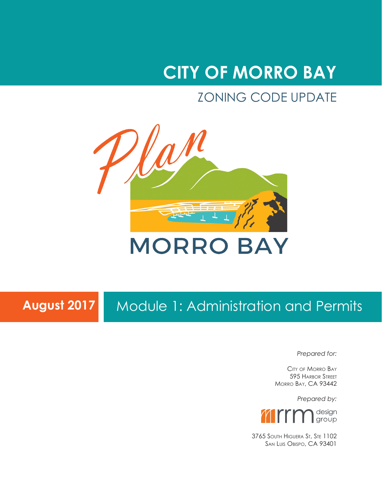# **CITY OF MORRO CITY OF MORRO BAY**

# **DRAFT** ZONING CODE ZONING CODE UPDATE



**August 2017** Module 1: Administration and Permits

*Prepared for:*

CITY OF MORRO BAY 595 Harbor Street Morro Bay, CA 93442

*Prepared by:*



3765 South Higuera St, Ste 1102 San Luis Obispo, CA 93401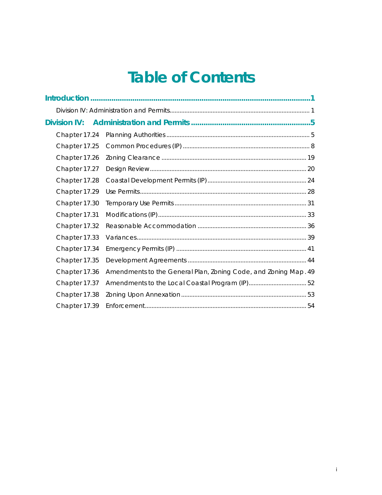# **Table of Contents**

| Division IV:  |                                                                 |  |
|---------------|-----------------------------------------------------------------|--|
| Chapter 17.24 |                                                                 |  |
| Chapter 17.25 |                                                                 |  |
| Chapter 17.26 |                                                                 |  |
| Chapter 17.27 |                                                                 |  |
| Chapter 17.28 |                                                                 |  |
| Chapter 17.29 |                                                                 |  |
| Chapter 17.30 |                                                                 |  |
| Chapter 17.31 |                                                                 |  |
| Chapter 17.32 |                                                                 |  |
| Chapter 17.33 |                                                                 |  |
| Chapter 17.34 |                                                                 |  |
| Chapter 17.35 |                                                                 |  |
| Chapter 17.36 | Amendments to the General Plan, Zoning Code, and Zoning Map. 49 |  |
| Chapter 17.37 |                                                                 |  |
| Chapter 17.38 |                                                                 |  |
| Chapter 17.39 |                                                                 |  |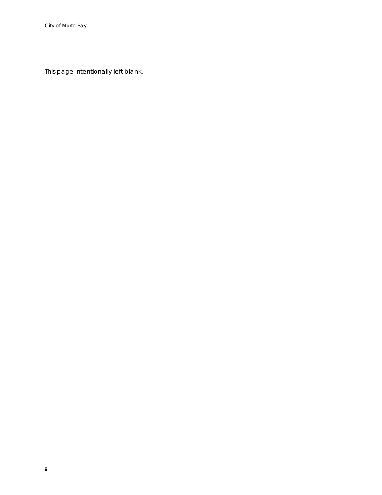*City of Morro Bay*

*This page intentionally left blank.*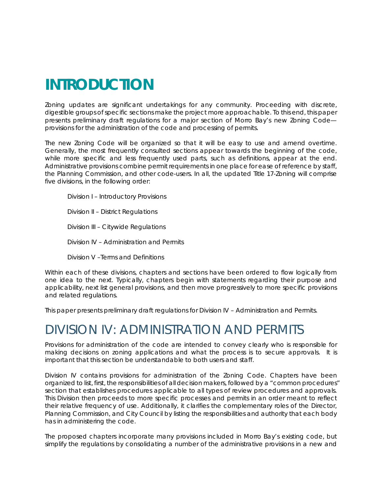# <span id="page-4-0"></span>**INTRODUCTION**

Zoning updates are significant undertakings for any community. Proceeding with discrete, digestible groups of specific sections make the project more approachable. To this end, this paper presents preliminary draft regulations for a major section of Morro Bay's new Zoning Code provisions for the administration of the code and processing of permits.

The new Zoning Code will be organized so that it will be easy to use and amend overtime. Generally, the most frequently consulted sections appear towards the beginning of the code, while more specific and less frequently used parts, such as definitions, appear at the end. Administrative provisions combine permit requirements in one place for ease of reference by staff, the Planning Commission, and other code-users. In all, the updated Title 17-Zoning will comprise five divisions, in the following order:

Division I – Introductory Provisions Division II – District Regulations Division III – Citywide Regulations

Division IV – Administration and Permits

Division V –Terms and Definitions

Within each of these divisions, chapters and sections have been ordered to flow logically from one idea to the next. Typically, chapters begin with statements regarding their purpose and applicability, next list general provisions, and then move progressively to more specific provisions and related regulations.

This paper presents preliminary draft regulations for Division IV – Administration and Permits.

# <span id="page-4-1"></span>DIVISION IV: ADMINISTRATION AND PERMITS

Provisions for administration of the code are intended to convey clearly who is responsible for making decisions on zoning applications and what the process is to secure approvals. It is important that this section be understandable to both users and staff.

Division IV contains provisions for administration of the Zoning Code. Chapters have been organized to list, first, the responsibilities of all decision makers, followed by a "common procedures" section that establishes procedures applicable to all types of review procedures and approvals. This Division then proceeds to more specific processes and permits in an order meant to reflect their relative frequency of use. Additionally, it clarifies the complementary roles of the Director, Planning Commission, and City Council by listing the responsibilities and authority that each body has in administering the code.

The proposed chapters incorporate many provisions included in Morro Bay's existing code, but simplify the regulations by consolidating a number of the administrative provisions in a new and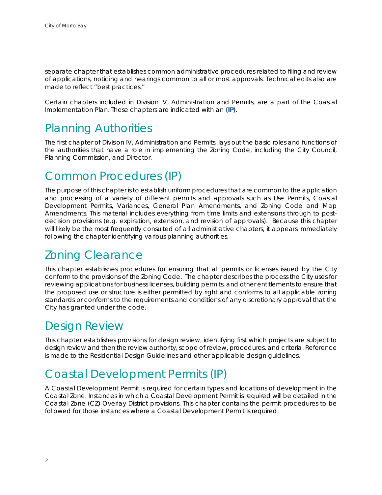separate chapter that establishes common administrative procedures related to filing and review of applications, noticing and hearings common to all or most approvals. Technical edits also are made to reflect "best practices."

Certain chapters included in Division IV, Administration and Permits, are a part of the Coastal Implementation Plan. These chapters are indicated with an **(IP)**.

# Planning Authorities

The first chapter of Division IV, Administration and Permits, lays out the basic roles and functions of the authorities that have a role in implementing the Zoning Code, including the City Council, Planning Commission, and Director.

# Common Procedures (IP)

The purpose of this chapter is to establish uniform procedures that are common to the application and processing of a variety of different permits and approvals such as Use Permits, Coastal Development Permits, Variances, General Plan Amendments, and Zoning Code and Map Amendments. This material includes everything from time limits and extensions through to postdecision provisions (e.g. expiration, extension, and revision of approvals). Because this chapter will likely be the most frequently consulted of all administrative chapters, it appears immediately following the chapter identifying various planning authorities.

# Zoning Clearance

This chapter establishes procedures for ensuring that all permits or licenses issued by the City conform to the provisions of the Zoning Code. The chapter describes the process the City uses for reviewing applications for business licenses, building permits, and other entitlements to ensure that the proposed use or structure is either permitted by right and conforms to all applicable zoning standards or conforms to the requirements and conditions of any discretionary approval that the City has granted under the code.

# Design Review

This chapter establishes provisions for design review, identifying first which projects are subject to design review and then the review authority, scope of review, procedures, and criteria. Reference is made to the Residential Design Guidelines and other applicable design guidelines.

# Coastal Development Permits (IP)

A Coastal Development Permit is required for certain types and locations of development in the Coastal Zone. Instances in which a Coastal Development Permit is required will be detailed in the Coastal Zone (CZ) Overlay District provisions. This chapter contains the permit procedures to be followed for those instances where a Coastal Development Permit is required.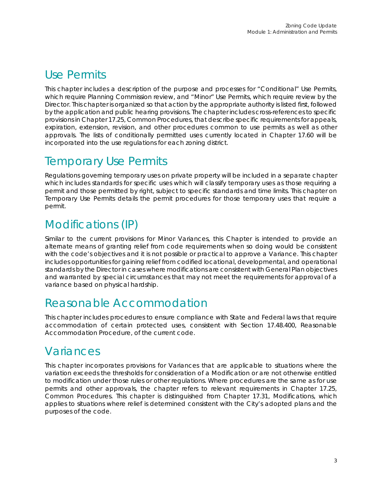# Use Permits

This chapter includes a description of the purpose and processes for "Conditional" Use Permits, which require Planning Commission review, and "Minor" Use Permits, which require review by the Director. This chapter is organized so that action by the appropriate authority is listed first, followed by the application and public hearing provisions. The chapter includes cross-references to specific provisions in Chapter 17.25, Common Procedures, that describe specific requirements for appeals, expiration, extension, revision, and other procedures common to use permits as well as other approvals. The lists of conditionally permitted uses currently located in Chapter 17.60 will be incorporated into the use regulations for each zoning district.

# Temporary Use Permits

Regulations governing temporary uses on private property will be included in a separate chapter which includes standards for specific uses which will classify temporary uses as those requiring a permit and those permitted by right, subject to specific standards and time limits. This chapter on Temporary Use Permits details the permit procedures for those temporary uses that require a permit.

# Modifications (IP)

Similar to the current provisions for Minor Variances, this Chapter is intended to provide an alternate means of granting relief from code requirements when so doing would be consistent with the code's objectives and it is not possible or practical to approve a Variance. This chapter includes opportunities for gaining relief from codified locational, developmental, and operational standards by the Director in cases where modifications are consistent with General Plan objectives and warranted by special circumstances that may not meet the requirements for approval of a variance based on physical hardship.

# Reasonable Accommodation

This chapter includes procedures to ensure compliance with State and Federal laws that require accommodation of certain protected uses, consistent with Section 17.48.400, Reasonable Accommodation Procedure, of the current code.

# Variances

This chapter incorporates provisions for Variances that are applicable to situations where the variation exceeds the thresholds for consideration of a Modification or are not otherwise entitled to modification under those rules or other regulations. Where procedures are the same as for use permits and other approvals, the chapter refers to relevant requirements in Chapter 17.25, Common Procedures. This chapter is distinguished from Chapter 17.31, Modifications, which applies to situations where relief is determined consistent with the City's adopted plans and the purposes of the code.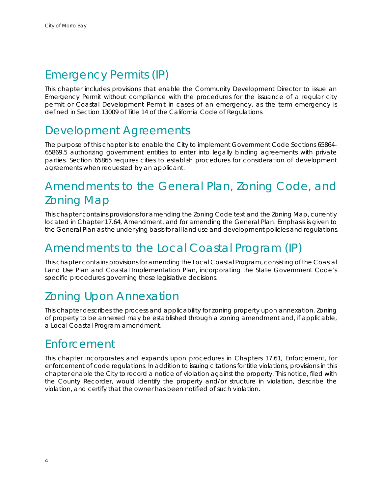# Emergency Permits (IP)

This chapter includes provisions that enable the Community Development Director to issue an Emergency Permit without compliance with the procedures for the issuance of a regular city permit or Coastal Development Permit in cases of an emergency, as the term emergency is defined in Section 13009 of Title 14 of the California Code of Regulations.

# Development Agreements

The purpose of this chapter is to enable the City to implement Government Code Sections 65864- 65869.5 authorizing government entities to enter into legally binding agreements with private parties. Section 65865 requires cities to establish procedures for consideration of development agreements when requested by an applicant.

# Amendments to the General Plan, Zoning Code, and Zoning Map

This chapter contains provisions for amending the Zoning Code text and the Zoning Map, currently located in Chapter 17.64, Amendment, and for amending the General Plan. Emphasis is given to the General Plan as the underlying basis for all land use and development policies and regulations.

# Amendments to the Local Coastal Program (IP)

This chapter contains provisions for amending the Local Coastal Program, consisting of the Coastal Land Use Plan and Coastal Implementation Plan, incorporating the State Government Code's specific procedures governing these legislative decisions.

# Zoning Upon Annexation

This chapter describes the process and applicability for zoning property upon annexation. Zoning of property to be annexed may be established through a zoning amendment and, if applicable, a Local Coastal Program amendment.

# Enforcement

This chapter incorporates and expands upon procedures in Chapters 17.61, Enforcement, for enforcement of code regulations. In addition to issuing citations for title violations, provisions in this chapter enable the City to record a notice of violation against the property. This notice, filed with the County Recorder, would identify the property and/or structure in violation, describe the violation, and certify that the owner has been notified of such violation.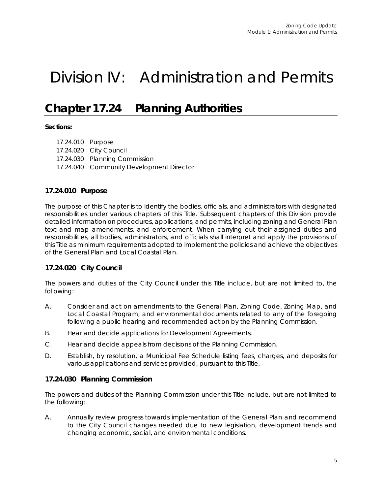# <span id="page-8-0"></span>Division IV: Administration and Permits

# <span id="page-8-1"></span>**Chapter 17.24 Planning Authorities**

### **Sections:**

17.24.010 Purpose 17.24.020 City Council 17.24.030 Planning Commission 17.24.040 Community Development Director

### **17.24.010 Purpose**

The purpose of this Chapter is to identify the bodies, officials, and administrators with designated responsibilities under various chapters of this Title. Subsequent chapters of this Division provide detailed information on procedures, applications, and permits, including zoning and General Plan text and map amendments, and enforcement. When carrying out their assigned duties and responsibilities, all bodies, administrators, and officials shall interpret and apply the provisions of this Title as minimum requirements adopted to implement the policies and achieve the objectives of the General Plan and Local Coastal Plan.

# **17.24.020 City Council**

The powers and duties of the City Council under this Title include, but are not limited to, the following:

- A. Consider and act on amendments to the General Plan, Zoning Code, Zoning Map, and Local Coastal Program, and environmental documents related to any of the foregoing following a public hearing and recommended action by the Planning Commission.
- B. Hear and decide applications for Development Agreements.
- C. Hear and decide appeals from decisions of the Planning Commission.
- D. Establish, by resolution, a Municipal Fee Schedule listing fees, charges, and deposits for various applications and services provided, pursuant to this Title.

### **17.24.030 Planning Commission**

The powers and duties of the Planning Commission under this Title include, but are not limited to the following:

A. Annually review progress towards implementation of the General Plan and recommend to the City Council changes needed due to new legislation, development trends and changing economic, social, and environmental conditions.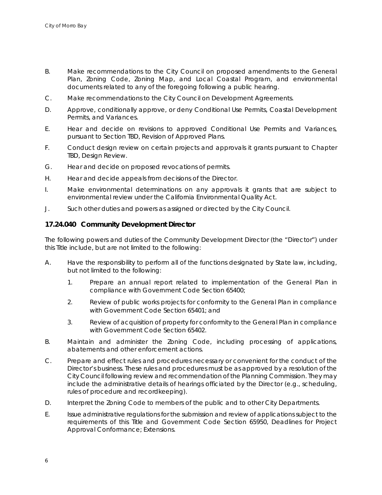- B. Make recommendations to the City Council on proposed amendments to the General Plan, Zoning Code, Zoning Map, and Local Coastal Program, and environmental documents related to any of the foregoing following a public hearing.
- C. Make recommendations to the City Council on Development Agreements.
- D. Approve, conditionally approve, or deny Conditional Use Permits, Coastal Development Permits, and Variances.
- E. Hear and decide on revisions to approved Conditional Use Permits and Variances, pursuant to Section TBD, Revision of Approved Plans.
- F. Conduct design review on certain projects and approvals it grants pursuant to Chapter TBD, Design Review.
- G. Hear and decide on proposed revocations of permits.
- H. Hear and decide appeals from decisions of the Director.
- I. Make environmental determinations on any approvals it grants that are subject to environmental review under the California Environmental Quality Act.
- J. Such other duties and powers as assigned or directed by the City Council.

#### **17.24.040 Community Development Director**

The following powers and duties of the Community Development Director (the "Director") under this Title include, but are not limited to the following:

- A. Have the responsibility to perform all of the functions designated by State law, including, but not limited to the following:
	- 1. Prepare an annual report related to implementation of the General Plan in compliance with Government Code Section 65400;
	- 2. Review of public works projects for conformity to the General Plan in compliance with Government Code Section 65401; and
	- 3. Review of acquisition of property for conformity to the General Plan in compliance with Government Code Section 65402.
- B. Maintain and administer the Zoning Code, including processing of applications, abatements and other enforcement actions.
- C. Prepare and effect rules and procedures necessary or convenient for the conduct of the Director's business. These rules and procedures must be as approved by a resolution of the City Council following review and recommendation of the Planning Commission. They may include the administrative details of hearings officiated by the Director (e.g., scheduling, rules of procedure and recordkeeping).
- D. Interpret the Zoning Code to members of the public and to other City Departments.
- E. Issue administrative regulations for the submission and review of applications subject to the requirements of this Title and Government Code Section 65950, Deadlines for Project Approval Conformance; Extensions.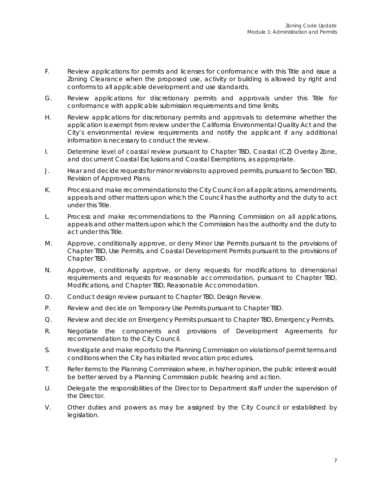- F. Review applications for permits and licenses for conformance with this Title and issue a Zoning Clearance when the proposed use, activity or building is allowed by right and conforms to all applicable development and use standards.
- G. Review applications for discretionary permits and approvals under this Title for conformance with applicable submission requirements and time limits.
- H. Review applications for discretionary permits and approvals to determine whether the application is exempt from review under the California Environmental Quality Act and the City's environmental review requirements and notify the applicant if any additional information is necessary to conduct the review.
- I. Determine level of coastal review pursuant to Chapter TBD, Coastal (CZ) Overlay Zone, and document Coastal Exclusions and Coastal Exemptions, as appropriate.
- J. Hear and decide requests for minor revisions to approved permits, pursuant to Section TBD, Revision of Approved Plans.
- K. Process and make recommendations to the City Council on all applications, amendments, appeals and other matters upon which the Council has the authority and the duty to act under this Title.
- L. Process and make recommendations to the Planning Commission on all applications, appeals and other matters upon which the Commission has the authority and the duty to act under this Title.
- M. Approve, conditionally approve, or deny Minor Use Permits pursuant to the provisions of Chapter TBD, Use Permits, and Coastal Development Permits pursuant to the provisions of Chapter TBD.
- N. Approve, conditionally approve, or deny requests for modifications to dimensional requirements and requests for reasonable accommodation, pursuant to Chapter TBD, Modifications, and Chapter TBD, Reasonable Accommodation.
- O. Conduct design review pursuant to Chapter TBD, Design Review.
- P. Review and decide on Temporary Use Permits pursuant to Chapter TBD.
- Q. Review and decide on Emergency Permits pursuant to Chapter TBD, Emergency Permits.
- R. Negotiate the components and provisions of Development Agreements for recommendation to the City Council.
- S. Investigate and make reports to the Planning Commission on violations of permit terms and conditions when the City has initiated revocation procedures.
- T. Refer items to the Planning Commission where, in his/her opinion, the public interest would be better served by a Planning Commission public hearing and action.
- U. Delegate the responsibilities of the Director to Department staff under the supervision of the Director.
- V. Other duties and powers as may be assigned by the City Council or established by legislation.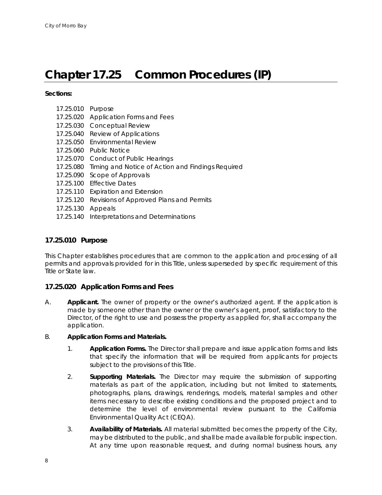# <span id="page-11-0"></span>**Chapter 17.25 Common Procedures (IP)**

#### **Sections:**

| 17.25.010 | Purpose |
|-----------|---------|
|           |         |

- 17.25.020 Application Forms and Fees
- 17.25.030 Conceptual Review
- 17.25.040 Review of Applications
- 17.25.050 Environmental Review
- 17.25.060 Public Notice
- 17.25.070 Conduct of Public Hearings
- 17.25.080 Timing and Notice of Action and Findings Required
- 17.25.090 Scope of Approvals
- 17.25.100 Effective Dates
- 17.25.110 Expiration and Extension
- 17.25.120 Revisions of Approved Plans and Permits
- 17.25.130 Appeals
- 17.25.140 Interpretations and Determinations

### **17.25.010 Purpose**

This Chapter establishes procedures that are common to the application and processing of all permits and approvals provided for in this Title, unless superseded by specific requirement of this Title or State law.

### **17.25.020 Application Forms and Fees**

A. **Applicant.** The owner of property or the owner's authorized agent. If the application is made by someone other than the owner or the owner's agent, proof, satisfactory to the Director, of the right to use and possess the property as applied for, shall accompany the application.

#### B. **Application Forms and Materials.**

- 1. *Application Forms.* The Director shall prepare and issue application forms and lists that specify the information that will be required from applicants for projects subject to the provisions of this Title.
- 2. *Supporting Materials.* The Director may require the submission of supporting materials as part of the application, including but not limited to statements, photographs, plans, drawings, renderings, models, material samples and other items necessary to describe existing conditions and the proposed project and to determine the level of environmental review pursuant to the California Environmental Quality Act (CEQA).
- 3. *Availability of Materials.* All material submitted becomes the property of the City, may be distributed to the public, and shall be made available for public inspection. At any time upon reasonable request, and during normal business hours, any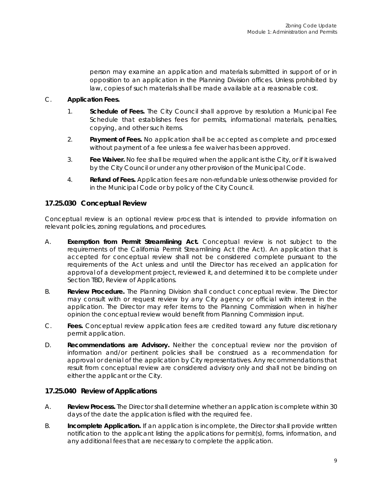person may examine an application and materials submitted in support of or in opposition to an application in the Planning Division offices. Unless prohibited by law, copies of such materials shall be made available at a reasonable cost.

#### C. **Application Fees.**

- 1. *Schedule of Fees.* The City Council shall approve by resolution a Municipal Fee Schedule that establishes fees for permits, informational materials, penalties, copying, and other such items.
- 2. *Payment of Fees.* No application shall be accepted as complete and processed without payment of a fee unless a fee waiver has been approved.
- 3. *Fee Waiver.* No fee shall be required when the applicant is the City, or if it is waived by the City Council or under any other provision of the Municipal Code.
- 4. *Refund of Fees.* Application fees are non-refundable unless otherwise provided for in the Municipal Code or by policy of the City Council.

### **17.25.030 Conceptual Review**

Conceptual review is an optional review process that is intended to provide information on relevant policies, zoning regulations, and procedures.

- A. **Exemption from Permit Streamlining Act.** Conceptual review is not subject to the requirements of the California Permit Streamlining Act (the Act). An application that is accepted for conceptual review shall not be considered complete pursuant to the requirements of the Act unless and until the Director has received an application for approval of a development project, reviewed it, and determined it to be complete under Section TBD, Review of Applications.
- B. **Review Procedure.** The Planning Division shall conduct conceptual review. The Director may consult with or request review by any City agency or official with interest in the application. The Director may refer items to the Planning Commission when in his/her opinion the conceptual review would benefit from Planning Commission input.
- C. **Fees.** Conceptual review application fees are credited toward any future discretionary permit application.
- D. **Recommendations are Advisory.** Neither the conceptual review nor the provision of information and/or pertinent policies shall be construed as a recommendation for approval or denial of the application by City representatives. Any recommendations that result from conceptual review are considered advisory only and shall not be binding on either the applicant or the City.

#### **17.25.040 Review of Applications**

- A. **Review Process.** The Director shall determine whether an application is complete within 30 days of the date the application is filed with the required fee.
- B. **Incomplete Application.** If an application is incomplete, the Director shall provide written notification to the applicant listing the applications for permit(s), forms, information, and any additional fees that are necessary to complete the application.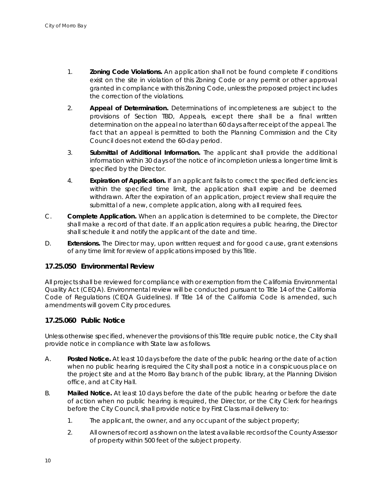- 1. *Zoning Code Violations.* An application shall not be found complete if conditions exist on the site in violation of this Zoning Code or any permit or other approval granted in compliance with this Zoning Code, unless the proposed project includes the correction of the violations.
- 2. *Appeal of Determination.* Determinations of incompleteness are subject to the provisions of Section TBD, Appeals, except there shall be a final written determination on the appeal no later than 60 days after receipt of the appeal. The fact that an appeal is permitted to both the Planning Commission and the City Council does not extend the 60-day period.
- 3. *Submittal of Additional Information.* The applicant shall provide the additional information within 30 days of the notice of incompletion unless a longer time limit is specified by the Director.
- 4. *Expiration of Application.* If an applicant fails to correct the specified deficiencies within the specified time limit, the application shall expire and be deemed withdrawn. After the expiration of an application, project review shall require the submittal of a new, complete application, along with all required fees.
- C. **Complete Application.** When an application is determined to be complete, the Director shall make a record of that date. If an application requires a public hearing, the Director shall schedule it and notify the applicant of the date and time.
- D. **Extensions.** The Director may, upon written request and for good cause, grant extensions of any time limit for review of applications imposed by this Title.

### **17.25.050 Environmental Review**

All projects shall be reviewed for compliance with or exemption from the California Environmental Quality Act (CEQA). Environmental review will be conducted pursuant to Title 14 of the California Code of Regulations (CEQA Guidelines). If Title 14 of the California Code is amended, such amendments will govern City procedures.

#### **17.25.060 Public Notice**

Unless otherwise specified, whenever the provisions of this Title require public notice, the City shall provide notice in compliance with State law as follows.

- A. **Posted Notice.** At least 10 days before the date of the public hearing or the date of action when no public hearing is required the City shall post a notice in a conspicuous place on the project site and at the Morro Bay branch of the public library, at the Planning Division office, and at City Hall.
- B. **Mailed Notice.** At least 10 days before the date of the public hearing or before the date of action when no public hearing is required, the Director, or the City Clerk for hearings before the City Council, shall provide notice by First Class mail delivery to:
	- 1. The applicant, the owner, and any occupant of the subject property;
	- 2. All owners of record as shown on the latest available records of the County Assessor of property within 500 feet of the subject property.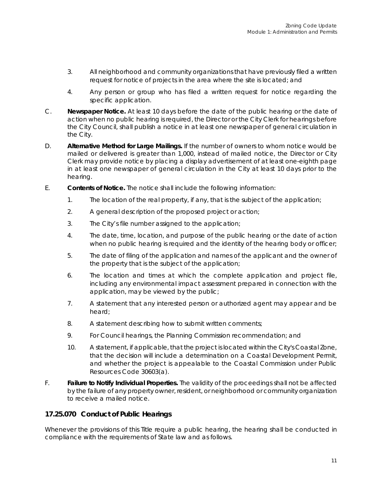- 3. All neighborhood and community organizations that have previously filed a written request for notice of projects in the area where the site is located; and
- 4. Any person or group who has filed a written request for notice regarding the specific application.
- C. **Newspaper Notice.** At least 10 days before the date of the public hearing or the date of action when no public hearing is required, the Director or the City Clerk for hearings before the City Council, shall publish a notice in at least one newspaper of general circulation in the City.
- D. **Alternative Method for Large Mailings.** If the number of owners to whom notice would be mailed or delivered is greater than 1,000, instead of mailed notice, the Director or City Clerk may provide notice by placing a display advertisement of at least one-eighth page in at least one newspaper of general circulation in the City at least 10 days prior to the hearing.
- E. **Contents of Notice.** The notice shall include the following information:
	- 1. The location of the real property, if any, that is the subject of the application;
	- 2. A general description of the proposed project or action;
	- 3. The City's file number assigned to the application;
	- 4. The date, time, location, and purpose of the public hearing or the date of action when no public hearing is required and the identity of the hearing body or officer;
	- 5. The date of filing of the application and names of the applicant and the owner of the property that is the subject of the application;
	- 6. The location and times at which the complete application and project file, including any environmental impact assessment prepared in connection with the application, may be viewed by the public;
	- 7. A statement that any interested person or authorized agent may appear and be heard;
	- 8. A statement describing how to submit written comments;
	- 9. For Council hearings, the Planning Commission recommendation; and
	- 10. A statement, if applicable, that the project is located within the City's Coastal Zone, that the decision will include a determination on a Coastal Development Permit, and whether the project is appealable to the Coastal Commission under Public Resources Code 30603(a).
- F. **Failure to Notify Individual Properties.** The validity of the proceedings shall not be affected by the failure of any property owner, resident, or neighborhood or community organization to receive a mailed notice.

### **17.25.070 Conduct of Public Hearings**

Whenever the provisions of this Title require a public hearing, the hearing shall be conducted in compliance with the requirements of State law and as follows.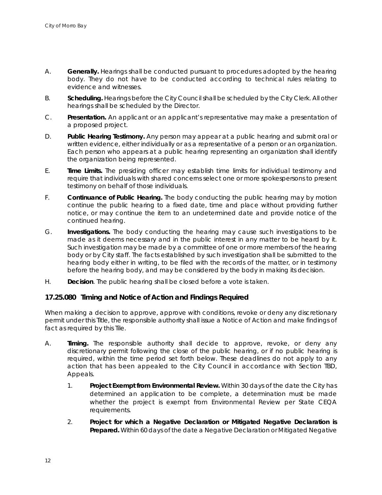- A. **Generally.** Hearings shall be conducted pursuant to procedures adopted by the hearing body. They do not have to be conducted according to technical rules relating to evidence and witnesses.
- B. **Scheduling.** Hearings before the City Council shall be scheduled by the City Clerk. All other hearings shall be scheduled by the Director.
- C. **Presentation.** An applicant or an applicant's representative may make a presentation of a proposed project.
- D. **Public Hearing Testimony.** Any person may appear at a public hearing and submit oral or written evidence, either individually or as a representative of a person or an organization. Each person who appears at a public hearing representing an organization shall identify the organization being represented.
- E. **Time Limits.** The presiding officer may establish time limits for individual testimony and require that individuals with shared concerns select one or more spokespersons to present testimony on behalf of those individuals.
- F. **Continuance of Public Hearing.** The body conducting the public hearing may by motion continue the public hearing to a fixed date, time and place without providing further notice, or may continue the item to an undetermined date and provide notice of the continued hearing.
- G. **Investigations.** The body conducting the hearing may cause such investigations to be made as it deems necessary and in the public interest in any matter to be heard by it. Such investigation may be made by a committee of one or more members of the hearing body or by City staff. The facts established by such investigation shall be submitted to the hearing body either in writing, to be filed with the records of the matter, or in testimony before the hearing body, and may be considered by the body in making its decision.
- H. **Decision**. The public hearing shall be closed before a vote is taken.

#### **17.25.080 Timing and Notice of Action and Findings Required**

When making a decision to approve, approve with conditions, revoke or deny any discretionary permit under this Title, the responsible authority shall issue a Notice of Action and make findings of fact as required by this Tile.

- A. **Timing.** The responsible authority shall decide to approve, revoke, or deny any discretionary permit following the close of the public hearing, or if no public hearing is required, within the time period set forth below. These deadlines do not apply to any action that has been appealed to the City Council in accordance with Section TBD, Appeals.
	- 1. *Project Exempt from Environmental Review.* Within 30 days of the date the City has determined an application to be complete, a determination must be made whether the project is exempt from Environmental Review per State CEQA requirements.
	- 2. *Project for which a Negative Declaration or Mitigated Negative Declaration is Prepared.* Within 60 days of the date a Negative Declaration or Mitigated Negative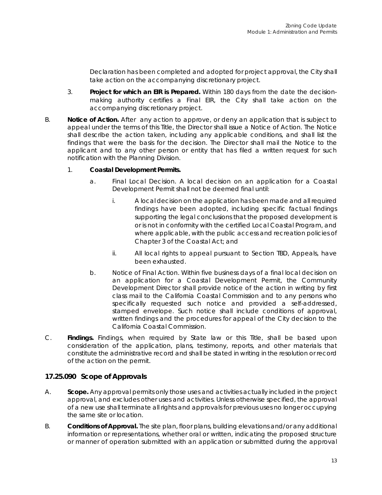Declaration has been completed and adopted for project approval, the City shall take action on the accompanying discretionary project.

- 3. *Project for which an EIR is Prepared.* Within 180 days from the date the decisionmaking authority certifies a Final EIR, the City shall take action on the accompanying discretionary project.
- B. **Notice of Action.** After any action to approve, or deny an application that is subject to appeal under the terms of this Title, the Director shall issue a Notice of Action. The Notice shall describe the action taken, including any applicable conditions, and shall list the findings that were the basis for the decision. The Director shall mail the Notice to the applicant and to any other person or entity that has filed a written request for such notification with the Planning Division.

#### 1. *Coastal Development Permits.*

- a. *Final Local Decision.* A local decision on an application for a Coastal Development Permit shall not be deemed final until:
	- i. A local decision on the application has been made and all required findings have been adopted, including specific factual findings supporting the legal conclusions that the proposed development is or is not in conformity with the certified Local Coastal Program, and where applicable, with the public access and recreation policies of Chapter 3 of the Coastal Act; and
	- ii. All local rights to appeal pursuant to Section TBD, Appeals, have been exhausted.
- b. *Notice of Final Action.* Within five business days of a final local decision on an application for a Coastal Development Permit, the Community Development Director shall provide notice of the action in writing by first class mail to the California Coastal Commission and to any persons who specifically requested such notice and provided a self-addressed, stamped envelope. Such notice shall include conditions of approval, written findings and the procedures for appeal of the City decision to the California Coastal Commission.
- C. **Findings.** Findings, when required by State law or this Title, shall be based upon consideration of the application, plans, testimony, reports, and other materials that constitute the administrative record and shall be stated in writing in the resolution or record of the action on the permit.

### **17.25.090 Scope of Approvals**

- A. **Scope.** Any approval permits only those uses and activities actually included in the project approval, and excludes other uses and activities. Unless otherwise specified, the approval of a new use shall terminate all rights and approvals for previous uses no longer occupying the same site or location.
- B. **Conditions of Approval.** The site plan, floor plans, building elevations and/or any additional information or representations, whether oral or written, indicating the proposed structure or manner of operation submitted with an application or submitted during the approval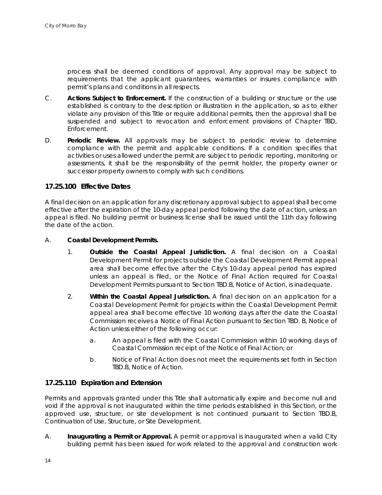process shall be deemed conditions of approval. Any approval may be subject to requirements that the applicant guarantees, warranties or insures compliance with permit's plans and conditions in all respects.

- C. **Actions Subject to Enforcement.** If the construction of a building or structure or the use established is contrary to the description or illustration in the application, so as to either violate any provision of this Title or require additional permits, then the approval shall be suspended and subject to revocation and enforcement provisions of Chapter TBD, Enforcement.
- D. **Periodic Review.** All approvals may be subject to periodic review to determine compliance with the permit and applicable conditions. If a condition specifies that activities or uses allowed under the permit are subject to periodic reporting, monitoring or assessments, it shall be the responsibility of the permit holder, the property owner or successor property owners to comply with such conditions.

#### **17.25.100 Effective Dates**

A final decision on an application for any discretionary approval subject to appeal shall become effective after the expiration of the 10-day appeal period following the date of action, unless an appeal is filed. No building permit or business license shall be issued until the 11th day following the date of the action.

#### A. **Coastal Development Permits.**

- 1. *Outside the Coastal Appeal Jurisdiction.* A final decision on a Coastal Development Permit for projects outside the Coastal Development Permit appeal area shall become effective after the City's 10-day appeal period has expired unless an appeal is filed, or the Notice of Final Action required for Coastal Development Permits pursuant to Section TBD.B, Notice of Action, is inadequate.
- 2. *Within the Coastal Appeal Jurisdiction.* A final decision on an application for a Coastal Development Permit for projects within the Coastal Development Permit appeal area shall become effective 10 working days after the date the Coastal Commission receives a Notice of Final Action pursuant to Section TBD. B, Notice of Action unless either of the following occur:
	- a. An appeal is filed with the Coastal Commission within 10 working days of Coastal Commission receipt of the Notice of Final Action; or
	- b. Notice of Final Action does not meet the requirements set forth in Section TBD.B, Notice of Action.

#### **17.25.110 Expiration and Extension**

Permits and approvals granted under this Title shall automatically expire and become null and void if the approval is not inaugurated within the time periods established in this Section, or the approved use, structure, or site development is not continued pursuant to Section TBD.B, Continuation of Use, Structure, or Site Development.

A. **Inaugurating a Permit or Approval.** A permit or approval is inaugurated when a valid City building permit has been issued for work related to the approval and construction work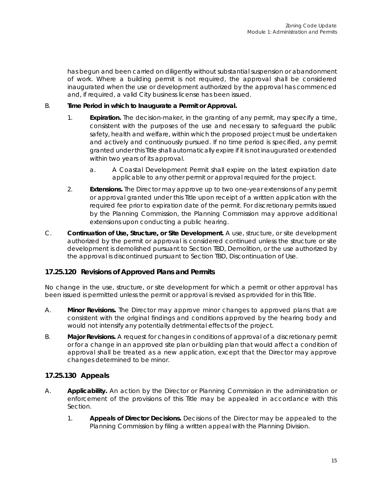has begun and been carried on diligently without substantial suspension or abandonment of work. Where a building permit is not required, the approval shall be considered inaugurated when the use or development authorized by the approval has commenced and, if required, a valid City business license has been issued.

#### B. **Time Period in which to Inaugurate a Permit or Approval.**

- 1. *Expiration.* The decision-maker, in the granting of any permit, may specify a time, consistent with the purposes of the use and necessary to safeguard the public safety, health and welfare, within which the proposed project must be undertaken and actively and continuously pursued. If no time period is specified, any permit granted under this Title shall automatically expire if it is not inaugurated or extended within two years of its approval.
	- a. A Coastal Development Permit shall expire on the latest expiration date applicable to any other permit or approval required for the project.
- 2. *Extensions.* The Director may approve up to two one-year extensions of any permit or approval granted under this Title upon receipt of a written application with the required fee prior to expiration date of the permit. For discretionary permits issued by the Planning Commission, the Planning Commission may approve additional extensions upon conducting a public hearing.
- C. **Continuation of Use, Structure, or Site Development.** A use, structure, or site development authorized by the permit or approval is considered continued unless the structure or site development is demolished pursuant to Section TBD, Demolition, or the use authorized by the approval is discontinued pursuant to Section TBD, Discontinuation of Use.

### **17.25.120 Revisions of Approved Plans and Permits**

No change in the use, structure, or site development for which a permit or other approval has been issued is permitted unless the permit or approval is revised as provided for in this Title.

- A. **Minor Revisions.** The Director may approve minor changes to approved plans that are consistent with the original findings and conditions approved by the hearing body and would not intensify any potentially detrimental effects of the project.
- B. **Major Revisions.** A request for changes in conditions of approval of a discretionary permit or for a change in an approved site plan or building plan that would affect a condition of approval shall be treated as a new application, except that the Director may approve changes determined to be minor.

### **17.25.130 Appeals**

- A. **Applicability.** An action by the Director or Planning Commission in the administration or enforcement of the provisions of this Title may be appealed in accordance with this Section.
	- 1. *Appeals of Director Decisions.* Decisions of the Director may be appealed to the Planning Commission by filing a written appeal with the Planning Division.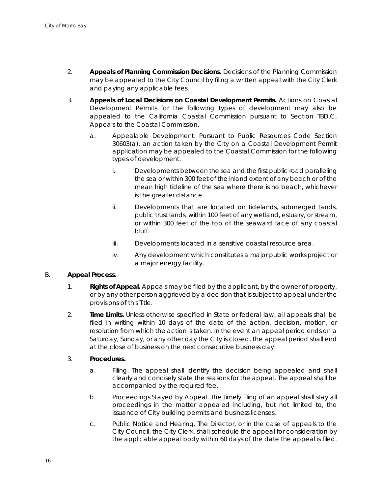- 2. *Appeals of Planning Commission Decisions.* Decisions of the Planning Commission may be appealed to the City Council by filing a written appeal with the City Clerk and paying any applicable fees.
- 3. *Appeals of Local Decisions on Coastal Development Permits.* Actions on Coastal Development Permits for the following types of development may also be appealed to the California Coastal Commission pursuant to Section TBD.C, Appeals to the Coastal Commission.
	- a. *Appealable Development.* Pursuant to Public Resources Code Section 30603(a), an action taken by the City on a Coastal Development Permit application may be appealed to the Coastal Commission for the following types of development.
		- i. Developments between the sea and the first public road paralleling the sea or within 300 feet of the inland extent of any beach or of the mean high tideline of the sea where there is no beach, whichever is the greater distance.
		- ii. Developments that are located on tidelands, submerged lands, public trust lands, within 100 feet of any wetland, estuary, or stream, or within 300 feet of the top of the seaward face of any coastal bluff.
		- iii. Developments located in a sensitive coastal resource area.
		- iv. Any development which constitutes a major public works project or a major energy facility.

#### B. **Appeal Process.**

- 1. *Rights of Appeal.* Appeals may be filed by the applicant, by the owner of property, or by any other person aggrieved by a decision that is subject to appeal under the provisions of this Title.
- 2. *Time Limits.* Unless otherwise specified in State or federal law, all appeals shall be filed in writing within 10 days of the date of the action, decision, motion, or resolution from which the action is taken. In the event an appeal period ends on a Saturday, Sunday, or any other day the City is closed, the appeal period shall end at the close of business on the next consecutive business day.

#### 3. *Procedures.*

- a. *Filing.* The appeal shall identify the decision being appealed and shall clearly and concisely state the reasons for the appeal. The appeal shall be accompanied by the required fee.
- b. *Proceedings Stayed by Appeal.* The timely filing of an appeal shall stay all proceedings in the matter appealed including, but not limited to, the issuance of City building permits and business licenses.
- c. *Public Notice and Hearing.* The Director, or in the case of appeals to the City Council, the City Clerk, shall schedule the appeal for consideration by the applicable appeal body within 60 days of the date the appeal is filed.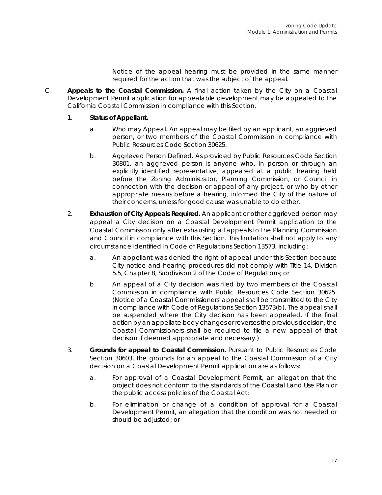Notice of the appeal hearing must be provided in the same manner required for the action that was the subject of the appeal.

C. **Appeals to the Coastal Commission.** A final action taken by the City on a Coastal Development Permit application for appealable development may be appealed to the California Coastal Commission in compliance with this Section.

#### 1. *Status of Appellant.*

- a. *Who may Appeal.* An appeal may be filed by an applicant, an aggrieved person, or two members of the Coastal Commission in compliance with Public Resources Code Section 30625.
- b. *Aggrieved Person Defined.* As provided by Public Resources Code Section 30801, an aggrieved person is anyone who, in person or through an explicitly identified representative, appeared at a public hearing held before the Zoning Administrator, Planning Commission, or Council in connection with the decision or appeal of any project, or who by other appropriate means before a hearing, informed the City of the nature of their concerns, unless for good cause was unable to do either.
- 2. *Exhaustion of City Appeals Required.* An applicant or other aggrieved person may appeal a City decision on a Coastal Development Permit application to the Coastal Commission only after exhausting all appeals to the Planning Commission and Council in compliance with this Section. This limitation shall not apply to any circumstance identified in Code of Regulations Section 13573, including:
	- a. An appellant was denied the right of appeal under this Section because City notice and hearing procedures did not comply with Title 14, Division 5.5, Chapter 8, Subdivision 2 of the Code of Regulations; or
	- b. An appeal of a City decision was filed by two members of the Coastal Commission in compliance with Public Resources Code Section 30625. (Notice of a Coastal Commissioners' appeal shall be transmitted to the City in compliance with Code of Regulations Section 13573(b). The appeal shall be suspended where the City decision has been appealed. If the final action by an appellate body changes or reverses the previous decision, the Coastal Commissioners shall be required to file a new appeal of that decision if deemed appropriate and necessary.)
- 3. *Grounds for appeal to Coastal Commission.* Pursuant to Public Resources Code Section 30603, the grounds for an appeal to the Coastal Commission of a City decision on a Coastal Development Permit application are as follows:
	- a. For approval of a Coastal Development Permit, an allegation that the project does not conform to the standards of the Coastal Land Use Plan or the public access policies of the Coastal Act;
	- b. For elimination or change of a condition of approval for a Coastal Development Permit, an allegation that the condition was not needed or should be adjusted; or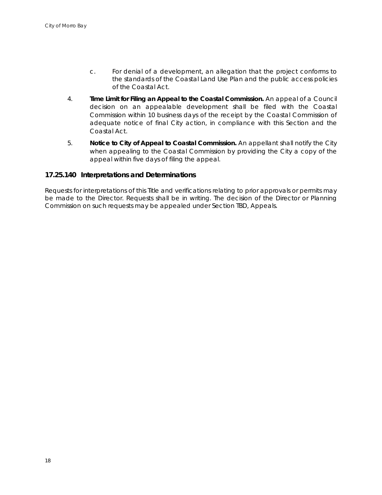- c. For denial of a development, an allegation that the project conforms to the standards of the Coastal Land Use Plan and the public access policies of the Coastal Act.
- 4. *Time Limit for Filing an Appeal to the Coastal Commission.* An appeal of a Council decision on an appealable development shall be filed with the Coastal Commission within 10 business days of the receipt by the Coastal Commission of adequate notice of final City action, in compliance with this Section and the Coastal Act.
- 5. *Notice to City of Appeal to Coastal Commission.* An appellant shall notify the City when appealing to the Coastal Commission by providing the City a copy of the appeal within five days of filing the appeal.

#### **17.25.140 Interpretations and Determinations**

Requests for interpretations of this Title and verifications relating to prior approvals or permits may be made to the Director. Requests shall be in writing. The decision of the Director or Planning Commission on such requests may be appealed under Section TBD, Appeals.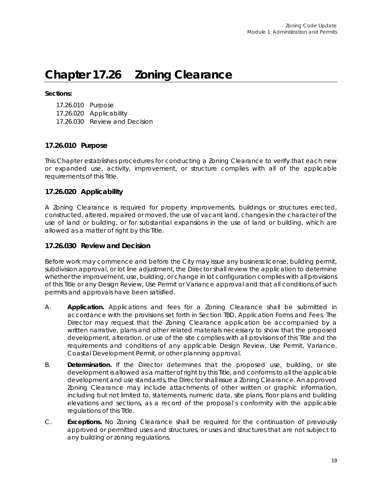# <span id="page-22-0"></span>**Chapter 17.26 Zoning Clearance**

#### **Sections:**

| 17.26.010 Purpose |                         |  |
|-------------------|-------------------------|--|
|                   | 17.26.020 Applicability |  |
|                   |                         |  |

17.26.030 Review and Decision

### **17.26.010 Purpose**

This Chapter establishes procedures for conducting a Zoning Clearance to verify that each new or expanded use, activity, improvement, or structure complies with all of the applicable requirements of this Title.

### **17.26.020 Applicability**

A Zoning Clearance is required for property improvements, buildings or structures erected, constructed, altered, repaired or moved, the use of vacant land, changes in the character of the use of land or building, or for substantial expansions in the use of land or building, which are allowed as a matter of right by this Title.

#### **17.26.030 Review and Decision**

Before work may commence and before the City may issue any business license, building permit, subdivision approval, or lot line adjustment, the Director shall review the application to determine whether the improvement, use, building, or change in lot configuration complies with all provisions of this Title or any Design Review, Use Permit or Variance approval and that all conditions of such permits and approvals have been satisfied.

- A. **Application.** Applications and fees for a Zoning Clearance shall be submitted in accordance with the provisions set forth in Section TBD, Application Forms and Fees. The Director may request that the Zoning Clearance application be accompanied by a written narrative, plans and other related materials necessary to show that the proposed development, alteration, or use of the site complies with all provisions of this Title and the requirements and conditions of any applicable Design Review, Use Permit, Variance, Coastal Development Permit, or other planning approval.
- B. **Determination.** If the Director determines that the proposed use, building, or site development is allowed as a matter of right by this Title, and conforms to all the applicable development and use standards, the Director shall issue a Zoning Clearance. An approved Zoning Clearance may include attachments of other written or graphic information, including but not limited to, statements, numeric data, site plans, floor plans and building elevations and sections, as a record of the proposal's conformity with the applicable regulations of this Title.
- C. **Exceptions.** No Zoning Clearance shall be required for the continuation of previously approved or permitted uses and structures, or uses and structures that are not subject to any building or zoning regulations.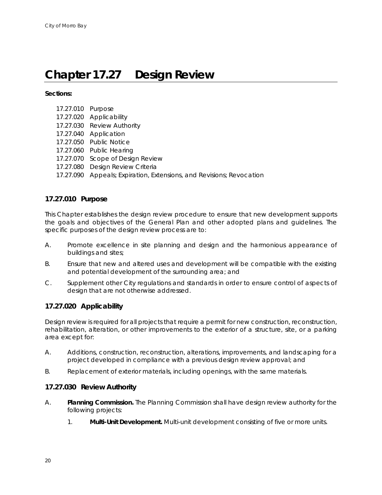# <span id="page-23-0"></span>**Chapter 17.27 Design Review**

#### **Sections:**

| 17.27.010 Purpose |  |
|-------------------|--|
|                   |  |

- 17.27.020 Applicability
- 17.27.030 Review Authority
- 17.27.040 Application
- 17.27.050 Public Notice
- 17.27.060 Public Hearing
- 17.27.070 Scope of Design Review
- 17.27.080 Design Review Criteria
- 17.27.090 Appeals; Expiration, Extensions, and Revisions; Revocation

### **17.27.010 Purpose**

This Chapter establishes the design review procedure to ensure that new development supports the goals and objectives of the General Plan and other adopted plans and guidelines. The specific purposes of the design review process are to:

- A. Promote excellence in site planning and design and the harmonious appearance of buildings and sites;
- B. Ensure that new and altered uses and development will be compatible with the existing and potential development of the surrounding area; and
- C. Supplement other City regulations and standards in order to ensure control of aspects of design that are not otherwise addressed.

### **17.27.020 Applicability**

Design review is required for all projects that require a permit for new construction, reconstruction, rehabilitation, alteration, or other improvements to the exterior of a structure, site, or a parking area except for:

- A. Additions, construction, reconstruction, alterations, improvements, and landscaping for a project developed in compliance with a previous design review approval; and
- B. Replacement of exterior materials, including openings, with the same materials.

### **17.27.030 Review Authority**

- A. **Planning Commission.** The Planning Commission shall have design review authority for the following projects:
	- 1. *Multi-Unit Development.* Multi-unit development consisting of five or more units.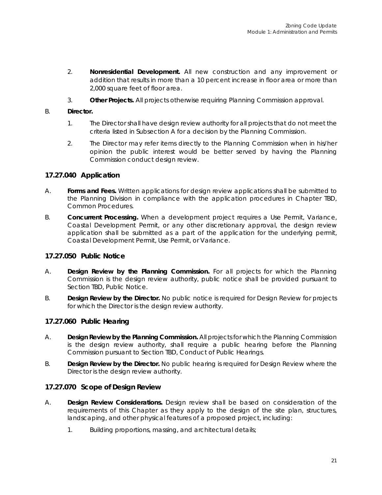- 2. *Nonresidential Development.* All new construction and any improvement or addition that results in more than a 10 percent increase in floor area or more than 2,000 square feet of floor area.
- 3. *Other Projects.* All projects otherwise requiring Planning Commission approval.

#### B. **Director.**

- 1. The Director shall have design review authority for all projects that do not meet the criteria listed in Subsection A for a decision by the Planning Commission.
- 2. The Director may refer items directly to the Planning Commission when in his/her opinion the public interest would be better served by having the Planning Commission conduct design review.

#### **17.27.040 Application**

- A. **Forms and Fees.** Written applications for design review applications shall be submitted to the Planning Division in compliance with the application procedures in Chapter TBD, Common Procedures.
- B. **Concurrent Processing.** When a development project requires a Use Permit, Variance, Coastal Development Permit, or any other discretionary approval, the design review application shall be submitted as a part of the application for the underlying permit, Coastal Development Permit, Use Permit, or Variance.

### **17.27.050 Public Notice**

- A. **Design Review by the Planning Commission.** For all projects for which the Planning Commission is the design review authority, public notice shall be provided pursuant to Section TBD, Public Notice.
- B. **Design Review by the Director.** No public notice is required for Design Review for projects for which the Director is the design review authority.

### **17.27.060 Public Hearing**

- A. **Design Review by the Planning Commission.** All projects for which the Planning Commission is the design review authority, shall require a public hearing before the Planning Commission pursuant to Section TBD, Conduct of Public Hearings.
- B. **Design Review by the Director.** No public hearing is required for Design Review where the Director is the design review authority.

#### **17.27.070 Scope of Design Review**

- A. **Design Review Considerations.** Design review shall be based on consideration of the requirements of this Chapter as they apply to the design of the site plan, structures, landscaping, and other physical features of a proposed project, including:
	- 1. Building proportions, massing, and architectural details;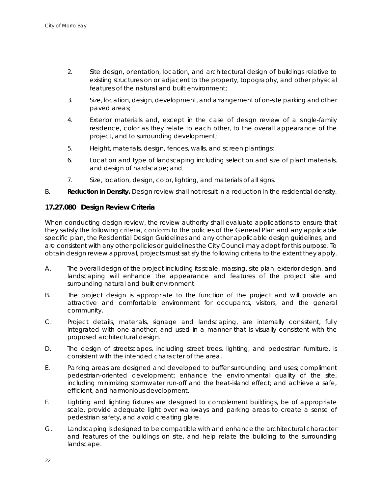- 2. Site design, orientation, location, and architectural design of buildings relative to existing structures on or adjacent to the property, topography, and other physical features of the natural and built environment;
- 3. Size, location, design, development, and arrangement of on-site parking and other paved areas;
- 4. Exterior materials and, except in the case of design review of a single-family residence, color as they relate to each other, to the overall appearance of the project, and to surrounding development;
- 5. Height, materials, design, fences, walls, and screen plantings;
- 6. Location and type of landscaping including selection and size of plant materials, and design of hardscape; and
- 7. Size, location, design, color, lighting, and materials of all signs.
- B. **Reduction in Density.** Design review shall not result in a reduction in the residential density.

#### **17.27.080 Design Review Criteria**

When conducting design review, the review authority shall evaluate applications to ensure that they satisfy the following criteria, conform to the policies of the General Plan and any applicable specific plan, the Residential Design Guidelines and any other applicable design guidelines, and are consistent with any other policies or guidelines the City Council may adopt for this purpose. To obtain design review approval, projects must satisfy the following criteria to the extent they apply.

- A. The overall design of the project including its scale, massing, site plan, exterior design, and landscaping will enhance the appearance and features of the project site and surrounding natural and built environment.
- B. The project design is appropriate to the function of the project and will provide an attractive and comfortable environment for occupants, visitors, and the general community.
- C. Project details, materials, signage and landscaping, are internally consistent, fully integrated with one another, and used in a manner that is visually consistent with the proposed architectural design.
- D. The design of streetscapes, including street trees, lighting, and pedestrian furniture, is consistent with the intended character of the area.
- E. Parking areas are designed and developed to buffer surrounding land uses; compliment pedestrian-oriented development; enhance the environmental quality of the site, including minimizing stormwater run-off and the heat-island effect; and achieve a safe, efficient, and harmonious development.
- F. Lighting and lighting fixtures are designed to complement buildings, be of appropriate scale, provide adequate light over walkways and parking areas to create a sense of pedestrian safety, and avoid creating glare.
- G. Landscaping is designed to be compatible with and enhance the architectural character and features of the buildings on site, and help relate the building to the surrounding landscape.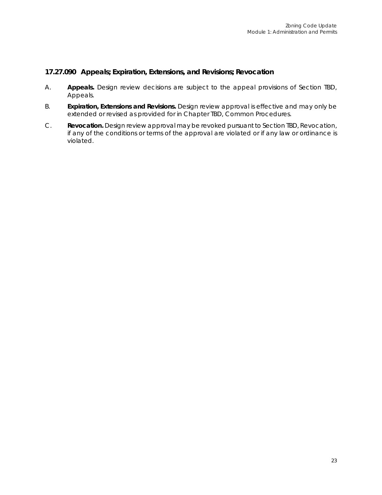### **17.27.090 Appeals; Expiration, Extensions, and Revisions; Revocation**

- A. **Appeals.** Design review decisions are subject to the appeal provisions of Section TBD, Appeals.
- B. **Expiration, Extensions and Revisions.** Design review approval is effective and may only be extended or revised as provided for in Chapter TBD, Common Procedures.
- C. **Revocation.** Design review approval may be revoked pursuant to Section TBD, Revocation, if any of the conditions or terms of the approval are violated or if any law or ordinance is violated.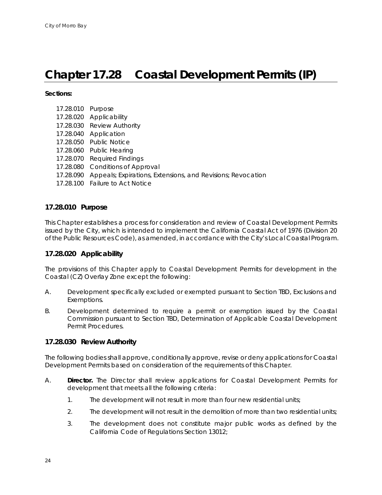# <span id="page-27-0"></span>**Chapter 17.28 Coastal Development Permits (IP)**

#### **Sections:**

| 17.28.010 | Purpose |
|-----------|---------|
|           |         |

- 17.28.020 Applicability
- 17.28.030 Review Authority
- 17.28.040 Application
- 17.28.050 Public Notice
- 17.28.060 Public Hearing
- 17.28.070 Required Findings
- 17.28.080 Conditions of Approval
- 17.28.090 Appeals; Expirations, Extensions, and Revisions; Revocation
- 17.28.100 Failure to Act Notice

### **17.28.010 Purpose**

This Chapter establishes a process for consideration and review of Coastal Development Permits issued by the City, which is intended to implement the California Coastal Act of 1976 (Division 20 of the Public Resources Code), as amended, in accordance with the City's Local Coastal Program.

### **17.28.020 Applicability**

The provisions of this Chapter apply to Coastal Development Permits for development in the Coastal (CZ) Overlay Zone except the following:

- A. Development specifically excluded or exempted pursuant to Section TBD, Exclusions and Exemptions.
- B. Development determined to require a permit or exemption issued by the Coastal Commission pursuant to Section TBD, Determination of Applicable Coastal Development Permit Procedures.

### **17.28.030 Review Authority**

The following bodies shall approve, conditionally approve, revise or deny applications for Coastal Development Permits based on consideration of the requirements of this Chapter.

- A. **Director.** The Director shall review applications for Coastal Development Permits for development that meets all the following criteria:
	- 1. The development will not result in more than four new residential units;
	- 2. The development will not result in the demolition of more than two residential units;
	- 3. The development does not constitute major public works as defined by the California Code of Regulations Section 13012;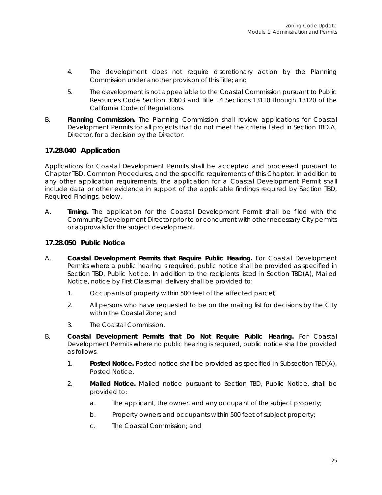- 4. The development does not require discretionary action by the Planning Commission under another provision of this Title; and
- 5. The development is not appealable to the Coastal Commission pursuant to Public Resources Code Section 30603 and Title 14 Sections 13110 through 13120 of the California Code of Regulations.
- B. **Planning Commission.** The Planning Commission shall review applications for Coastal Development Permits for all projects that do not meet the criteria listed in Section TBD.A, Director, for a decision by the Director.

### **17.28.040 Application**

Applications for Coastal Development Permits shall be accepted and processed pursuant to Chapter TBD, Common Procedures, and the specific requirements of this Chapter. In addition to any other application requirements, the application for a Coastal Development Permit shall include data or other evidence in support of the applicable findings required by Section TBD, Required Findings, below.

A. **Timing.** The application for the Coastal Development Permit shall be filed with the Community Development Director prior to or concurrent with other necessary City permits or approvals for the subject development.

### **17.28.050 Public Notice**

- A. **Coastal Development Permits that Require Public Hearing.** For Coastal Development Permits where a public hearing is required, public notice shall be provided as specified in Section TBD, Public Notice. In addition to the recipients listed in Section TBD(A), Mailed Notice, notice by First Class mail delivery shall be provided to:
	- 1. Occupants of property within 500 feet of the affected parcel;
	- 2. All persons who have requested to be on the mailing list for decisions by the City within the Coastal Zone; and
	- 3. The Coastal Commission.
- B. **Coastal Development Permits that Do Not Require Public Hearing.** For Coastal Development Permits where no public hearing is required, public notice shall be provided as follows.
	- 1. *Posted Notice.* Posted notice shall be provided as specified in Subsection TBD(A), Posted Notice.
	- 2. *Mailed Notice.* Mailed notice pursuant to Section TBD, Public Notice, shall be provided to:
		- a. The applicant, the owner, and any occupant of the subject property;
		- b. Property owners and occupants within 500 feet of subject property;
		- c. The Coastal Commission; and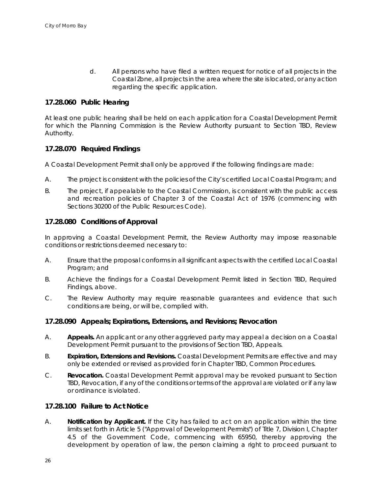d. All persons who have filed a written request for notice of all projects in the Coastal Zone, all projects in the area where the site is located, or any action regarding the specific application.

#### **17.28.060 Public Hearing**

At least one public hearing shall be held on each application for a Coastal Development Permit for which the Planning Commission is the Review Authority pursuant to Section TBD, Review Authority.

#### **17.28.070 Required Findings**

A Coastal Development Permit shall only be approved if the following findings are made:

- A. The project is consistent with the policies of the City's certified Local Coastal Program; and
- B. The project, if appealable to the Coastal Commission, is consistent with the public access and recreation policies of Chapter 3 of the Coastal Act of 1976 (commencing with Sections 30200 of the Public Resources Code).

#### **17.28.080 Conditions of Approval**

In approving a Coastal Development Permit, the Review Authority may impose reasonable conditions or restrictions deemed necessary to:

- A. Ensure that the proposal conforms in all significant aspects with the certified Local Coastal Program; and
- B. Achieve the findings for a Coastal Development Permit listed in Section TBD, Required Findings, above.
- C. The Review Authority may require reasonable guarantees and evidence that such conditions are being, or will be, complied with.

#### **17.28.090 Appeals; Expirations, Extensions, and Revisions; Revocation**

- A. **Appeals.** An applicant or any other aggrieved party may appeal a decision on a Coastal Development Permit pursuant to the provisions of Section TBD, Appeals.
- B. **Expiration, Extensions and Revisions.** Coastal Development Permits are effective and may only be extended or revised as provided for in Chapter TBD, Common Procedures.
- C. **Revocation.** Coastal Development Permit approval may be revoked pursuant to Section TBD, Revocation, if any of the conditions or terms of the approval are violated or if any law or ordinance is violated.

#### **17.28.100 Failure to Act Notice**

A. **Notification by Applicant.** If the City has failed to act on an application within the time limits set forth in Article 5 ("Approval of Development Permits") of Title 7, Division I, Chapter 4.5 of the Government Code, commencing with 65950, thereby approving the development by operation of law, the person claiming a right to proceed pursuant to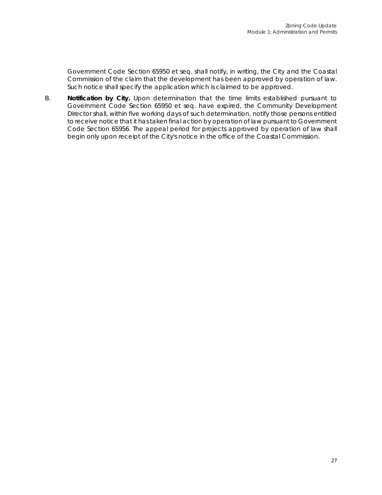Government Code Section 65950 et seq. shall notify, in writing, the City and the Coastal Commission of the claim that the development has been approved by operation of law. Such notice shall specify the application which is claimed to be approved.

B. **Notification by City.** Upon determination that the time limits established pursuant to Government Code Section 65950 et seq. have expired, the Community Development Director shall, within five working days of such determination, notify those persons entitled to receive notice that it has taken final action by operation of law pursuant to Government Code Section 65956. The appeal period for projects approved by operation of law shall begin only upon receipt of the City's notice in the office of the Coastal Commission.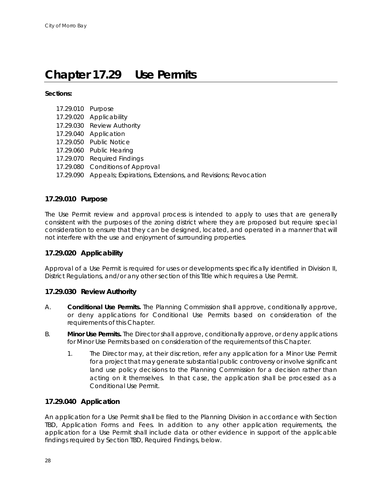# <span id="page-31-0"></span>**Chapter 17.29 Use Permits**

#### **Sections:**

- 17.29.010 Purpose
- 17.29.020 Applicability
- 17.29.030 Review Authority
- 17.29.040 Application
- 17.29.050 Public Notice
- 17.29.060 Public Hearing
- 17.29.070 Required Findings
- 17.29.080 Conditions of Approval
- 17.29.090 Appeals; Expirations, Extensions, and Revisions; Revocation

### **17.29.010 Purpose**

The Use Permit review and approval process is intended to apply to uses that are generally consistent with the purposes of the zoning district where they are proposed but require special consideration to ensure that they can be designed, located, and operated in a manner that will not interfere with the use and enjoyment of surrounding properties.

### **17.29.020 Applicability**

Approval of a Use Permit is required for uses or developments specifically identified in Division II, District Regulations, and/or any other section of this Title which requires a Use Permit.

#### **17.29.030 Review Authority**

- A. **Conditional Use Permits.** The Planning Commission shall approve, conditionally approve, or deny applications for Conditional Use Permits based on consideration of the requirements of this Chapter.
- B. **Minor Use Permits.** The Director shall approve, conditionally approve, or deny applications for Minor Use Permits based on consideration of the requirements of this Chapter.
	- 1. The Director may, at their discretion, refer any application for a Minor Use Permit for a project that may generate substantial public controversy or involve significant land use policy decisions to the Planning Commission for a decision rather than acting on it themselves. In that case, the application shall be processed as a Conditional Use Permit.

### **17.29.040 Application**

An application for a Use Permit shall be filed to the Planning Division in accordance with Section TBD, Application Forms and Fees. In addition to any other application requirements, the application for a Use Permit shall include data or other evidence in support of the applicable findings required by Section TBD, Required Findings, below.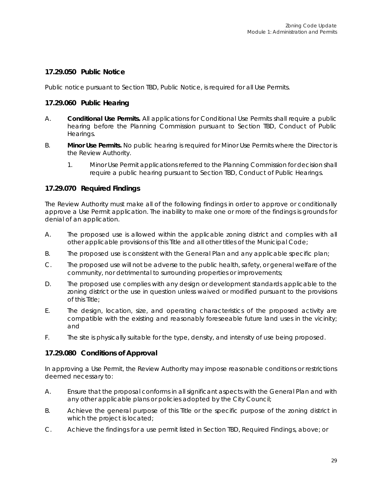### **17.29.050 Public Notice**

Public notice pursuant to Section TBD, Public Notice, is required for all Use Permits.

### **17.29.060 Public Hearing**

- A. **Conditional Use Permits.** All applications for Conditional Use Permits shall require a public hearing before the Planning Commission pursuant to Section TBD, Conduct of Public Hearings.
- B. **Minor Use Permits.** No public hearing is required for Minor Use Permits where the Director is the Review Authority.
	- 1. Minor Use Permit applications referred to the Planning Commission for decision shall require a public hearing pursuant to Section TBD, Conduct of Public Hearings.

### **17.29.070 Required Findings**

The Review Authority must make all of the following findings in order to approve or conditionally approve a Use Permit application. The inability to make one or more of the findings is grounds for denial of an application.

- A. The proposed use is allowed within the applicable zoning district and complies with all other applicable provisions of this Title and all other titles of the Municipal Code;
- B. The proposed use is consistent with the General Plan and any applicable specific plan;
- C. The proposed use will not be adverse to the public health, safety, or general welfare of the community, nor detrimental to surrounding properties or improvements;
- D. The proposed use complies with any design or development standards applicable to the zoning district or the use in question unless waived or modified pursuant to the provisions of this Title;
- E. The design, location, size, and operating characteristics of the proposed activity are compatible with the existing and reasonably foreseeable future land uses in the vicinity; and
- F. The site is physically suitable for the type, density, and intensity of use being proposed.

### **17.29.080 Conditions of Approval**

In approving a Use Permit, the Review Authority may impose reasonable conditions or restrictions deemed necessary to:

- A. Ensure that the proposal conforms in all significant aspects with the General Plan and with any other applicable plans or policies adopted by the City Council;
- B. Achieve the general purpose of this Title or the specific purpose of the zoning district in which the project is located;
- C. Achieve the findings for a use permit listed in Section TBD, Required Findings, above; or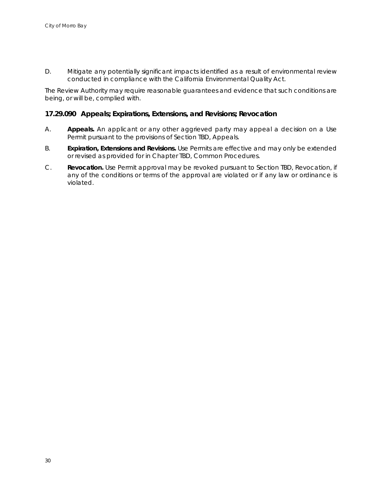D. Mitigate any potentially significant impacts identified as a result of environmental review conducted in compliance with the California Environmental Quality Act.

The Review Authority may require reasonable guarantees and evidence that such conditions are being, or will be, complied with.

#### **17.29.090 Appeals; Expirations, Extensions, and Revisions; Revocation**

- A. **Appeals.** An applicant or any other aggrieved party may appeal a decision on a Use Permit pursuant to the provisions of Section TBD, Appeals.
- B. **Expiration, Extensions and Revisions.** Use Permits are effective and may only be extended or revised as provided for in Chapter TBD, Common Procedures.
- C. **Revocation.** Use Permit approval may be revoked pursuant to Section TBD, Revocation, if any of the conditions or terms of the approval are violated or if any law or ordinance is violated.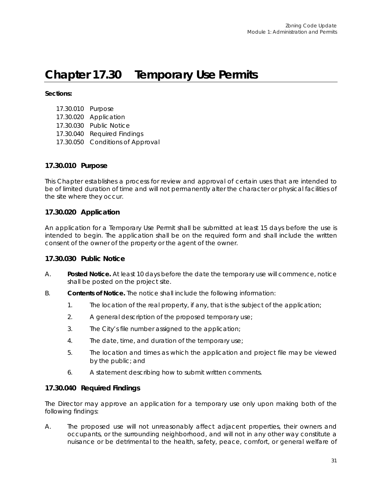# <span id="page-34-0"></span>**Chapter 17.30 Temporary Use Permits**

#### **Sections:**

| 17.30.010 Purpose |                                  |
|-------------------|----------------------------------|
|                   | 17.30.020 Application            |
|                   | 17.30.030 Public Notice          |
|                   | 17.30.040 Required Findings      |
|                   | 17.30.050 Conditions of Approval |

#### **17.30.010 Purpose**

This Chapter establishes a process for review and approval of certain uses that are intended to be of limited duration of time and will not permanently alter the character or physical facilities of the site where they occur.

#### **17.30.020 Application**

An application for a Temporary Use Permit shall be submitted at least 15 days before the use is intended to begin. The application shall be on the required form and shall include the written consent of the owner of the property or the agent of the owner.

#### **17.30.030 Public Notice**

- A. **Posted Notice.** At least 10 days before the date the temporary use will commence, notice shall be posted on the project site.
- B. **Contents of Notice.** The notice shall include the following information:
	- 1. The location of the real property, if any, that is the subject of the application;
	- 2. A general description of the proposed temporary use;
	- 3. The City's file number assigned to the application;
	- 4. The date, time, and duration of the temporary use;
	- 5. The location and times as which the application and project file may be viewed by the public; and
	- 6. A statement describing how to submit written comments.

#### **17.30.040 Required Findings**

The Director may approve an application for a temporary use only upon making both of the following findings:

A. The proposed use will not unreasonably affect adjacent properties, their owners and occupants, or the surrounding neighborhood, and will not in any other way constitute a nuisance or be detrimental to the health, safety, peace, comfort, or general welfare of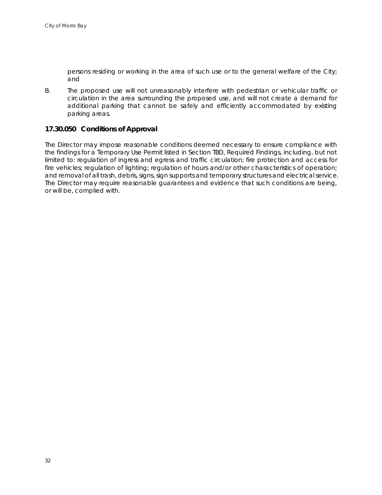persons residing or working in the area of such use or to the general welfare of the City; and

B. The proposed use will not unreasonably interfere with pedestrian or vehicular traffic or circulation in the area surrounding the proposed use, and will not create a demand for additional parking that cannot be safely and efficiently accommodated by existing parking areas.

### **17.30.050 Conditions of Approval**

The Director may impose reasonable conditions deemed necessary to ensure compliance with the findings for a Temporary Use Permit listed in Section TBD, Required Findings, including, but not limited to: regulation of ingress and egress and traffic circulation; fire protection and access for fire vehicles; regulation of lighting; regulation of hours and/or other characteristics of operation; and removal of all trash, debris, signs, sign supports and temporary structures and electrical service. The Director may require reasonable guarantees and evidence that such conditions are being, or will be, complied with.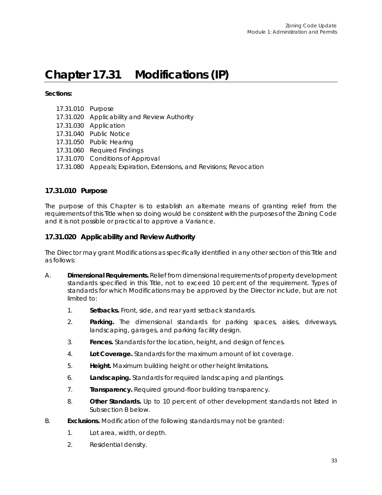# <span id="page-36-0"></span>**Chapter 17.31 Modifications (IP)**

#### **Sections:**

- 17.31.010 Purpose
- 17.31.020 Applicability and Review Authority
- 17.31.030 Application
- 17.31.040 Public Notice
- 17.31.050 Public Hearing
- 17.31.060 Required Findings
- 17.31.070 Conditions of Approval
- 17.31.080 Appeals; Expiration, Extensions, and Revisions; Revocation

### **17.31.010 Purpose**

The purpose of this Chapter is to establish an alternate means of granting relief from the requirements of this Title when so doing would be consistent with the purposes of the Zoning Code and it is not possible or practical to approve a Variance.

### **17.31.020 Applicability and Review Authority**

The Director may grant Modifications as specifically identified in any other section of this Title and as follows:

- A. **Dimensional Requirements.** Relief from dimensional requirements of property development standards specified in this Title, not to exceed 10 percent of the requirement. Types of standards for which Modifications may be approved by the Director include, but are not limited to:
	- 1. *Setbacks.* Front, side, and rear yard setback standards.
	- 2. *Parking.* The dimensional standards for parking spaces, aisles, driveways, landscaping, garages, and parking facility design.
	- 3. *Fences.* Standards for the location, height, and design of fences.
	- 4. *Lot Coverage.* Standards for the maximum amount of lot coverage.
	- 5. *Height.* Maximum building height or other height limitations.
	- 6. *Landscaping.* Standards for required landscaping and plantings.
	- 7. *Transparency.* Required ground-floor building transparency.
	- 8. *Other Standards.* Up to 10 percent of other development standards not listed in Subsection B below.
- B. **Exclusions.** Modification of the following standards may not be granted:
	- 1. Lot area, width, or depth.
	- 2. Residential density.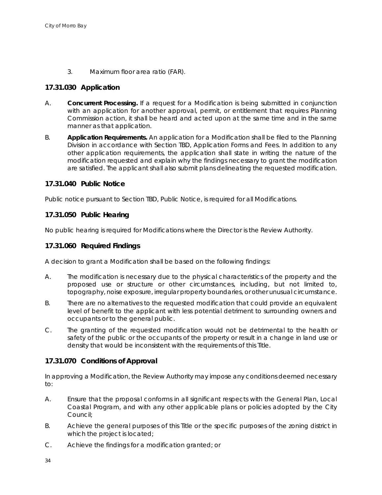3. Maximum floor area ratio (FAR).

### **17.31.030 Application**

- A. **Concurrent Processing.** If a request for a Modification is being submitted in conjunction with an application for another approval, permit, or entitlement that requires Planning Commission action, it shall be heard and acted upon at the same time and in the same manner as that application.
- B. **Application Requirements.** An application for a Modification shall be filed to the Planning Division in accordance with Section TBD, Application Forms and Fees. In addition to any other application requirements, the application shall state in writing the nature of the modification requested and explain why the findings necessary to grant the modification are satisfied. The applicant shall also submit plans delineating the requested modification.

### **17.31.040 Public Notice**

Public notice pursuant to Section TBD, Public Notice, is required for all Modifications.

### **17.31.050 Public Hearing**

No public hearing is required for Modifications where the Director is the Review Authority.

#### **17.31.060 Required Findings**

A decision to grant a Modification shall be based on the following findings:

- A. The modification is necessary due to the physical characteristics of the property and the proposed use or structure or other circumstances, including, but not limited to, topography, noise exposure, irregular property boundaries, or other unusual circumstance.
- B. There are no alternatives to the requested modification that could provide an equivalent level of benefit to the applicant with less potential detriment to surrounding owners and occupants or to the general public.
- C. The granting of the requested modification would not be detrimental to the health or safety of the public or the occupants of the property or result in a change in land use or density that would be inconsistent with the requirements of this Title.

### **17.31.070 Conditions of Approval**

In approving a Modification, the Review Authority may impose any conditions deemed necessary to:

- A. Ensure that the proposal conforms in all significant respects with the General Plan, Local Coastal Program, and with any other applicable plans or policies adopted by the City Council;
- B. Achieve the general purposes of this Title or the specific purposes of the zoning district in which the project is located;
- C. Achieve the findings for a modification granted; or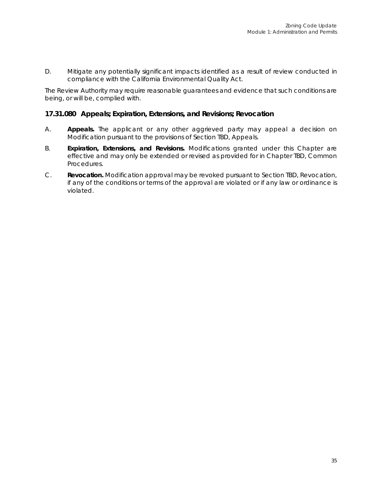D. Mitigate any potentially significant impacts identified as a result of review conducted in compliance with the California Environmental Quality Act.

The Review Authority may require reasonable guarantees and evidence that such conditions are being, or will be, complied with.

#### **17.31.080 Appeals; Expiration, Extensions, and Revisions; Revocation**

- A. **Appeals.** The applicant or any other aggrieved party may appeal a decision on Modification pursuant to the provisions of Section TBD, Appeals.
- B. **Expiration, Extensions, and Revisions.** Modifications granted under this Chapter are effective and may only be extended or revised as provided for in Chapter TBD, Common Procedures.
- C. **Revocation.** Modification approval may be revoked pursuant to Section TBD, Revocation, if any of the conditions or terms of the approval are violated or if any law or ordinance is violated.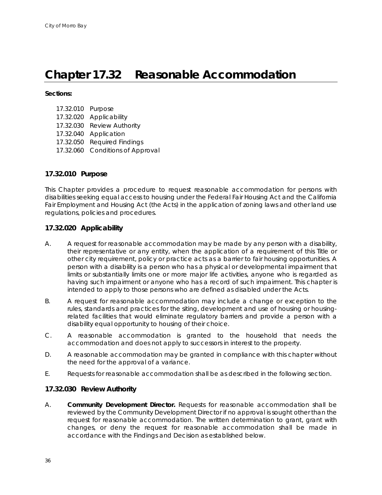# <span id="page-39-0"></span>**Chapter 17.32 Reasonable Accommodation**

#### **Sections:**

| 17.32.010 Purpose |                                  |
|-------------------|----------------------------------|
|                   | 17.32.020 Applicability          |
|                   | 17.32.030 Review Authority       |
|                   | 17.32.040 Application            |
|                   | 17.32.050 Required Findings      |
|                   | 17.32.060 Conditions of Approval |

### **17.32.010 Purpose**

This Chapter provides a procedure to request reasonable accommodation for persons with disabilities seeking equal access to housing under the Federal Fair Housing Act and the California Fair Employment and Housing Act (the Acts) in the application of zoning laws and other land use regulations, policies and procedures.

#### **17.32.020 Applicability**

- A. A request for reasonable accommodation may be made by any person with a disability, their representative or any entity, when the application of a requirement of this Title or other city requirement, policy or practice acts as a barrier to fair housing opportunities. A person with a disability is a person who has a physical or developmental impairment that limits or substantially limits one or more major life activities, anyone who is regarded as having such impairment or anyone who has a record of such impairment. This chapter is intended to apply to those persons who are defined as disabled under the Acts.
- B. A request for reasonable accommodation may include a change or exception to the rules, standards and practices for the siting, development and use of housing or housingrelated facilities that would eliminate regulatory barriers and provide a person with a disability equal opportunity to housing of their choice.
- C. A reasonable accommodation is granted to the household that needs the accommodation and does not apply to successors in interest to the property.
- D. A reasonable accommodation may be granted in compliance with this chapter without the need for the approval of a variance.
- E. Requests for reasonable accommodation shall be as described in the following section.

#### **17.32.030 Review Authority**

A. **Community Development Director.** Requests for reasonable accommodation shall be reviewed by the Community Development Director if no approval is sought other than the request for reasonable accommodation. The written determination to grant, grant with changes, or deny the request for reasonable accommodation shall be made in accordance with the Findings and Decision as established below.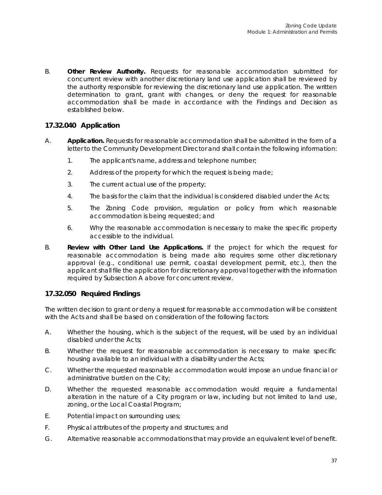B. **Other Review Authority.** Requests for reasonable accommodation submitted for concurrent review with another discretionary land use application shall be reviewed by the authority responsible for reviewing the discretionary land use application. The written determination to grant, grant with changes, or deny the request for reasonable accommodation shall be made in accordance with the Findings and Decision as established below.

### **17.32.040 Application**

- A. **Application.** Requests for reasonable accommodation shall be submitted in the form of a letter to the Community Development Director and shall contain the following information:
	- 1. The applicant's name, address and telephone number;
	- 2. Address of the property for which the request is being made;
	- 3. The current actual use of the property;
	- 4. The basis for the claim that the individual is considered disabled under the Acts;
	- 5. The Zoning Code provision, regulation or policy from which reasonable accommodation is being requested; and
	- 6. Why the reasonable accommodation is necessary to make the specific property accessible to the individual.
- B. **Review with Other Land Use Applications.** If the project for which the request for reasonable accommodation is being made also requires some other discretionary approval (e.g., conditional use permit, coastal development permit, etc.), then the applicant shall file the application for discretionary approval together with the information required by Subsection A above for concurrent review.

### **17.32.050 Required Findings**

The written decision to grant or deny a request for reasonable accommodation will be consistent with the Acts and shall be based on consideration of the following factors:

- A. Whether the housing, which is the subject of the request, will be used by an individual disabled under the Acts;
- B. Whether the request for reasonable accommodation is necessary to make specific housing available to an individual with a disability under the Acts;
- C. Whether the requested reasonable accommodation would impose an undue financial or administrative burden on the City;
- D. Whether the requested reasonable accommodation would require a fundamental alteration in the nature of a City program or law, including but not limited to land use, zoning, or the Local Coastal Program;
- E. Potential impact on surrounding uses;
- F. Physical attributes of the property and structures; and
- G. Alternative reasonable accommodations that may provide an equivalent level of benefit.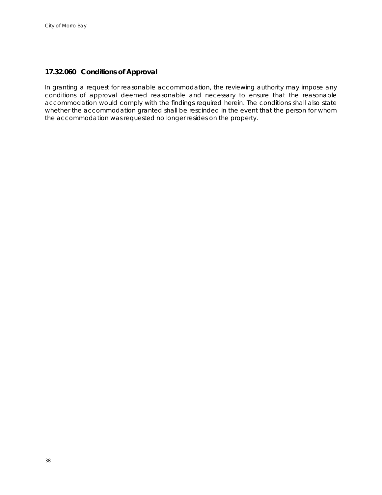### **17.32.060 Conditions of Approval**

In granting a request for reasonable accommodation, the reviewing authority may impose any conditions of approval deemed reasonable and necessary to ensure that the reasonable accommodation would comply with the findings required herein. The conditions shall also state whether the accommodation granted shall be rescinded in the event that the person for whom the accommodation was requested no longer resides on the property.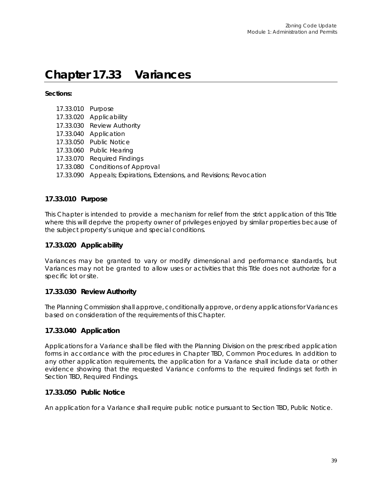# <span id="page-42-0"></span>**Chapter 17.33 Variances**

#### **Sections:**

- 17.33.010 Purpose
- 17.33.020 Applicability
- 17.33.030 Review Authority
- 17.33.040 Application
- 17.33.050 Public Notice
- 17.33.060 Public Hearing
- 17.33.070 Required Findings
- 17.33.080 Conditions of Approval
- 17.33.090 Appeals; Expirations, Extensions, and Revisions; Revocation

# **17.33.010 Purpose**

This Chapter is intended to provide a mechanism for relief from the strict application of this Title where this will deprive the property owner of privileges enjoyed by similar properties because of the subject property's unique and special conditions.

### **17.33.020 Applicability**

Variances may be granted to vary or modify dimensional and performance standards, but Variances may not be granted to allow uses or activities that this Title does not authorize for a specific lot or site.

### **17.33.030 Review Authority**

The Planning Commission shall approve, conditionally approve, or deny applications for Variances based on consideration of the requirements of this Chapter.

### **17.33.040 Application**

Applications for a Variance shall be filed with the Planning Division on the prescribed application forms in accordance with the procedures in Chapter TBD, Common Procedures. In addition to any other application requirements, the application for a Variance shall include data or other evidence showing that the requested Variance conforms to the required findings set forth in Section TBD, Required Findings.

### **17.33.050 Public Notice**

An application for a Variance shall require public notice pursuant to Section TBD, Public Notice.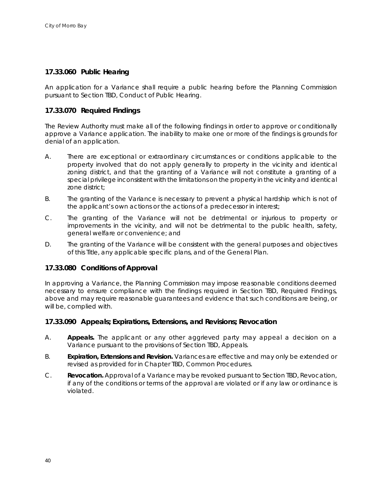### **17.33.060 Public Hearing**

An application for a Variance shall require a public hearing before the Planning Commission pursuant to Section TBD, Conduct of Public Hearing.

#### **17.33.070 Required Findings**

The Review Authority must make all of the following findings in order to approve or conditionally approve a Variance application. The inability to make one or more of the findings is grounds for denial of an application.

- A. There are exceptional or extraordinary circumstances or conditions applicable to the property involved that do not apply generally to property in the vicinity and identical zoning district, and that the granting of a Variance will not constitute a granting of a special privilege inconsistent with the limitations on the property in the vicinity and identical zone district;
- B. The granting of the Variance is necessary to prevent a physical hardship which is not of the applicant's own actions or the actions of a predecessor in interest;
- C. The granting of the Variance will not be detrimental or injurious to property or improvements in the vicinity, and will not be detrimental to the public health, safety, general welfare or convenience; and
- D. The granting of the Variance will be consistent with the general purposes and objectives of this Title, any applicable specific plans, and of the General Plan.

### **17.33.080 Conditions of Approval**

In approving a Variance, the Planning Commission may impose reasonable conditions deemed necessary to ensure compliance with the findings required in Section TBD, Required Findings, above and may require reasonable guarantees and evidence that such conditions are being, or will be, complied with.

#### **17.33.090 Appeals; Expirations, Extensions, and Revisions; Revocation**

- A. **Appeals.** The applicant or any other aggrieved party may appeal a decision on a Variance pursuant to the provisions of Section TBD, Appeals.
- B. **Expiration, Extensions and Revision.** Variances are effective and may only be extended or revised as provided for in Chapter TBD, Common Procedures.
- C. **Revocation.** Approval of a Variance may be revoked pursuant to Section TBD, Revocation, if any of the conditions or terms of the approval are violated or if any law or ordinance is violated.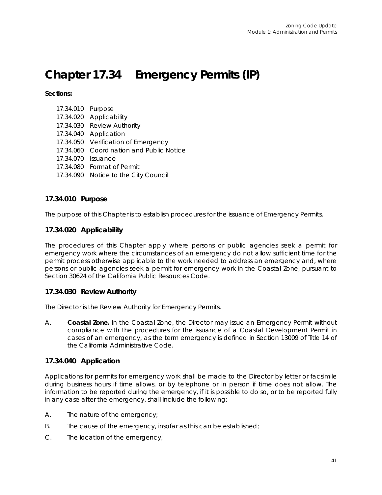# <span id="page-44-0"></span>**Chapter 17.34 Emergency Permits (IP)**

#### **Sections:**

- 17.34.010 Purpose 17.34.020 Applicability 17.34.030 Review Authority 17.34.040 Application 17.34.050 Verification of Emergency
- 17.34.060 Coordination and Public Notice
- 17.34.070 Issuance
- 17.34.080 Format of Permit
- 17.34.090 Notice to the City Council

### **17.34.010 Purpose**

The purpose of this Chapter is to establish procedures for the issuance of Emergency Permits.

### **17.34.020 Applicability**

The procedures of this Chapter apply where persons or public agencies seek a permit for emergency work where the circumstances of an emergency do not allow sufficient time for the permit process otherwise applicable to the work needed to address an emergency and, where persons or public agencies seek a permit for emergency work in the Coastal Zone, pursuant to Section 30624 of the California Public Resources Code.

### **17.34.030 Review Authority**

The Director is the Review Authority for Emergency Permits.

A. **Coastal Zone.** In the Coastal Zone, the Director may issue an Emergency Permit without compliance with the procedures for the issuance of a Coastal Development Permit in cases of an emergency, as the term emergency is defined in Section 13009 of Title 14 of the California Administrative Code.

### **17.34.040 Application**

Applications for permits for emergency work shall be made to the Director by letter or facsimile during business hours if time allows, or by telephone or in person if time does not allow. The information to be reported during the emergency, if it is possible to do so, or to be reported fully in any case after the emergency, shall include the following:

- A. The nature of the emergency;
- B. The cause of the emergency, insofar as this can be established;
- C. The location of the emergency;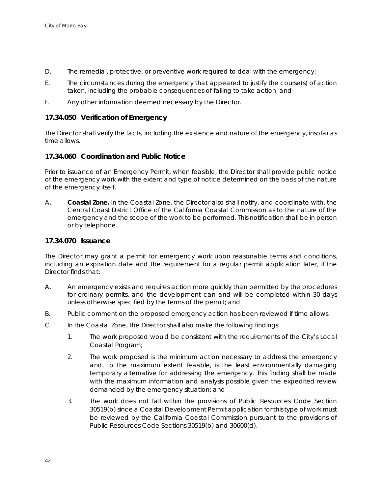- D. The remedial, protective, or preventive work required to deal with the emergency;
- E. The circumstances during the emergency that appeared to justify the course(s) of action taken, including the probable consequences of failing to take action; and
- F. Any other information deemed necessary by the Director.

#### **17.34.050 Verification of Emergency**

The Director shall verify the facts, including the existence and nature of the emergency, insofar as time allows.

#### **17.34.060 Coordination and Public Notice**

Prior to issuance of an Emergency Permit, when feasible, the Director shall provide public notice of the emergency work with the extent and type of notice determined on the basis of the nature of the emergency itself.

A. **Coastal Zone.** In the Coastal Zone, the Director also shall notify, and coordinate with, the Central Coast District Office of the California Coastal Commission as to the nature of the emergency and the scope of the work to be performed. This notification shall be in person or by telephone.

#### **17.34.070 Issuance**

The Director may grant a permit for emergency work upon reasonable terms and conditions, including an expiration date and the requirement for a regular permit application later, if the Director finds that:

- A. An emergency exists and requires action more quickly than permitted by the procedures for ordinary permits, and the development can and will be completed within 30 days unless otherwise specified by the terms of the permit; and
- B. Public comment on the proposed emergency action has been reviewed if time allows.
- C. In the Coastal Zone, the Director shall also make the following findings:
	- 1. The work proposed would be consistent with the requirements of the City's Local Coastal Program;
	- 2. The work proposed is the minimum action necessary to address the emergency and, to the maximum extent feasible, is the least environmentally damaging temporary alternative for addressing the emergency. This finding shall be made with the maximum information and analysis possible given the expedited review demanded by the emergency situation; and
	- 3. The work does not fall within the provisions of Public Resources Code Section 30519(b) since a Coastal Development Permit application for this type of work must be reviewed by the California Coastal Commission pursuant to the provisions of Public Resources Code Sections 30519(b) and 30600(d).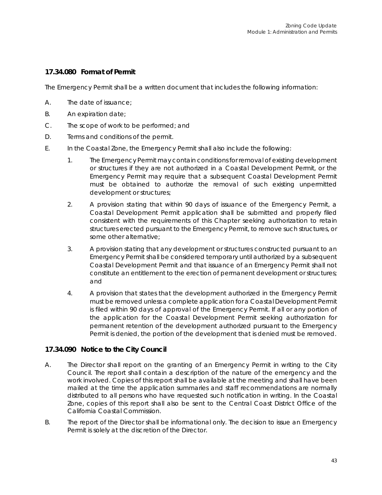## **17.34.080 Format of Permit**

The Emergency Permit shall be a written document that includes the following information:

- A. The date of issuance;
- B. An expiration date;
- C. The scope of work to be performed; and
- D. Terms and conditions of the permit.
- E. In the Coastal Zone, the Emergency Permit shall also include the following:
	- 1. The Emergency Permit may contain conditions for removal of existing development or structures if they are not authorized in a Coastal Development Permit, or the Emergency Permit may require that a subsequent Coastal Development Permit must be obtained to authorize the removal of such existing unpermitted development or structures;
	- 2. A provision stating that within 90 days of issuance of the Emergency Permit, a Coastal Development Permit application shall be submitted and properly filed consistent with the requirements of this Chapter seeking authorization to retain structures erected pursuant to the Emergency Permit, to remove such structures, or some other alternative;
	- 3. A provision stating that any development or structures constructed pursuant to an Emergency Permit shall be considered temporary until authorized by a subsequent Coastal Development Permit and that issuance of an Emergency Permit shall not constitute an entitlement to the erection of permanent development or structures; and
	- 4. A provision that states that the development authorized in the Emergency Permit must be removed unless a complete application for a Coastal Development Permit is filed within 90 days of approval of the Emergency Permit. If all or any portion of the application for the Coastal Development Permit seeking authorization for permanent retention of the development authorized pursuant to the Emergency Permit is denied, the portion of the development that is denied must be removed.

### **17.34.090 Notice to the City Council**

- A. The Director shall report on the granting of an Emergency Permit in writing to the City Council. The report shall contain a description of the nature of the emergency and the work involved. Copies of this report shall be available at the meeting and shall have been mailed at the time the application summaries and staff recommendations are normally distributed to all persons who have requested such notification in writing. In the Coastal Zone, copies of this report shall also be sent to the Central Coast District Office of the California Coastal Commission.
- B. The report of the Director shall be informational only. The decision to issue an Emergency Permit is solely at the discretion of the Director.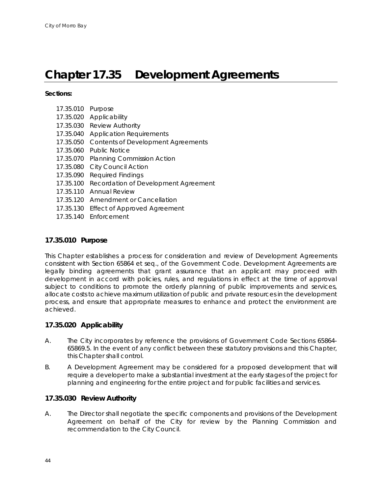# <span id="page-47-0"></span>**Chapter 17.35 Development Agreements**

#### **Sections:**

- 17.35.020 Applicability
- 17.35.030 Review Authority
- 17.35.040 Application Requirements
- 17.35.050 Contents of Development Agreements
- 17.35.060 Public Notice
- 17.35.070 Planning Commission Action
- 17.35.080 City Council Action
- 17.35.090 Required Findings
- 17.35.100 Recordation of Development Agreement
- 17.35.110 Annual Review
- 17.35.120 Amendment or Cancellation
- 17.35.130 Effect of Approved Agreement
- 17.35.140 Enforcement

### **17.35.010 Purpose**

This Chapter establishes a process for consideration and review of Development Agreements consistent with Section 65864 et seq., of the Government Code. Development Agreements are legally binding agreements that grant assurance that an applicant may proceed with development in accord with policies, rules, and regulations in effect at the time of approval subject to conditions to promote the orderly planning of public improvements and services, allocate costs to achieve maximum utilization of public and private resources in the development process, and ensure that appropriate measures to enhance and protect the environment are achieved.

### **17.35.020 Applicability**

- A. The City incorporates by reference the provisions of Government Code Sections 65864- 65869.5. In the event of any conflict between these statutory provisions and this Chapter, this Chapter shall control.
- B. A Development Agreement may be considered for a proposed development that will require a developer to make a substantial investment at the early stages of the project for planning and engineering for the entire project and for public facilities and services.

### **17.35.030 Review Authority**

A. The Director shall negotiate the specific components and provisions of the Development Agreement on behalf of the City for review by the Planning Commission and recommendation to the City Council.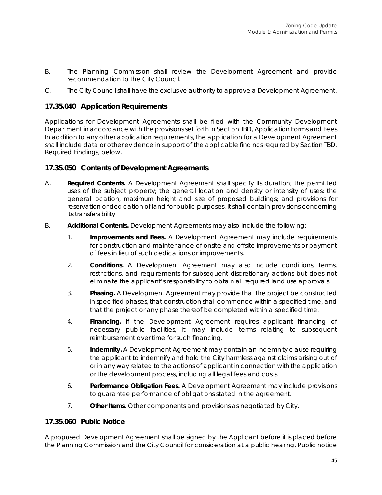- B. The Planning Commission shall review the Development Agreement and provide recommendation to the City Council.
- C. The City Council shall have the exclusive authority to approve a Development Agreement.

### **17.35.040 Application Requirements**

Applications for Development Agreements shall be filed with the Community Development Department in accordance with the provisions set forth in Section TBD, Application Forms and Fees. In addition to any other application requirements, the application for a Development Agreement shall include data or other evidence in support of the applicable findings required by Section TBD, Required Findings, below.

#### **17.35.050 Contents of Development Agreements**

- A. **Required Contents.** A Development Agreement shall specify its duration; the permitted uses of the subject property; the general location and density or intensity of uses; the general location, maximum height and size of proposed buildings; and provisions for reservation or dedication of land for public purposes. It shall contain provisions concerning its transferability.
- B. **Additional Contents.** Development Agreements may also include the following:
	- 1. *Improvements and Fees.* A Development Agreement may include requirements for construction and maintenance of onsite and offsite improvements or payment of fees in lieu of such dedications or improvements.
	- 2. *Conditions.* A Development Agreement may also include conditions, terms, restrictions, and requirements for subsequent discretionary actions but does not eliminate the applicant's responsibility to obtain all required land use approvals.
	- 3. *Phasing.* A Development Agreement may provide that the project be constructed in specified phases, that construction shall commence within a specified time, and that the project or any phase thereof be completed within a specified time.
	- 4. *Financing.* If the Development Agreement requires applicant financing of necessary public facilities, it may include terms relating to subsequent reimbursement over time for such financing.
	- 5. *Indemnity.* A Development Agreement may contain an indemnity clause requiring the applicant to indemnify and hold the City harmless against claims arising out of or in any way related to the actions of applicant in connection with the application or the development process, including all legal fees and costs.
	- 6. *Performance Obligation Fees.* A Development Agreement may include provisions to guarantee performance of obligations stated in the agreement.
	- 7. *Other Items.* Other components and provisions as negotiated by City.

#### **17.35.060 Public Notice**

A proposed Development Agreement shall be signed by the Applicant before it is placed before the Planning Commission and the City Council for consideration at a public hearing. Public notice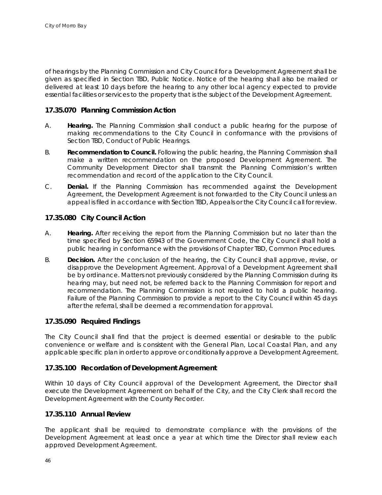of hearings by the Planning Commission and City Council for a Development Agreement shall be given as specified in Section TBD, Public Notice. Notice of the hearing shall also be mailed or delivered at least 10 days before the hearing to any other local agency expected to provide essential facilities or services to the property that is the subject of the Development Agreement.

### **17.35.070 Planning Commission Action**

- A. **Hearing.** The Planning Commission shall conduct a public hearing for the purpose of making recommendations to the City Council in conformance with the provisions of Section TBD, Conduct of Public Hearings.
- B. **Recommendation to Council.** Following the public hearing, the Planning Commission shall make a written recommendation on the proposed Development Agreement. The Community Development Director shall transmit the Planning Commission's written recommendation and record of the application to the City Council.
- C. **Denial.** If the Planning Commission has recommended against the Development Agreement, the Development Agreement is not forwarded to the City Council unless an appeal is filed in accordance with Section TBD, Appeals or the City Council call for review.

### **17.35.080 City Council Action**

- A. **Hearing.** After receiving the report from the Planning Commission but no later than the time specified by Section 65943 of the Government Code, the City Council shall hold a public hearing in conformance with the provisions of Chapter TBD, Common Procedures.
- B. **Decision.** After the conclusion of the hearing, the City Council shall approve, revise, or disapprove the Development Agreement. Approval of a Development Agreement shall be by ordinance. Matters not previously considered by the Planning Commission during its hearing may, but need not, be referred back to the Planning Commission for report and recommendation. The Planning Commission is not required to hold a public hearing. Failure of the Planning Commission to provide a report to the City Council within 45 days after the referral, shall be deemed a recommendation for approval.

### **17.35.090 Required Findings**

The City Council shall find that the project is deemed essential or desirable to the public convenience or welfare and is consistent with the General Plan, Local Coastal Plan, and any applicable specific plan in order to approve or conditionally approve a Development Agreement.

### **17.35.100 Recordation of Development Agreement**

Within 10 days of City Council approval of the Development Agreement, the Director shall execute the Development Agreement on behalf of the City, and the City Clerk shall record the Development Agreement with the County Recorder.

### **17.35.110 Annual Review**

The applicant shall be required to demonstrate compliance with the provisions of the Development Agreement at least once a year at which time the Director shall review each approved Development Agreement.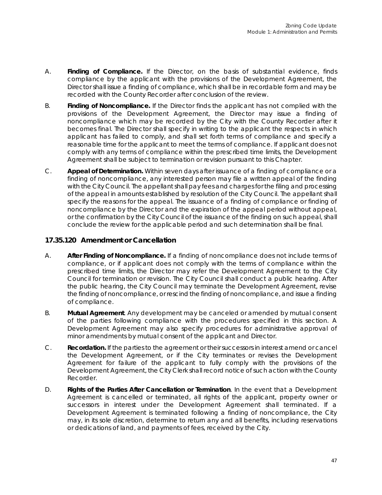- A. **Finding of Compliance.** If the Director, on the basis of substantial evidence, finds compliance by the applicant with the provisions of the Development Agreement, the Director shall issue a finding of compliance, which shall be in recordable form and may be recorded with the County Recorder after conclusion of the review.
- B. **Finding of Noncompliance.** If the Director finds the applicant has not complied with the provisions of the Development Agreement, the Director may issue a finding of noncompliance which may be recorded by the City with the County Recorder after it becomes final. The Director shall specify in writing to the applicant the respects in which applicant has failed to comply, and shall set forth terms of compliance and specify a reasonable time for the applicant to meet the terms of compliance. If applicant does not comply with any terms of compliance within the prescribed time limits, the Development Agreement shall be subject to termination or revision pursuant to this Chapter.
- C. **Appeal of Determination.** Within seven days after issuance of a finding of compliance or a finding of noncompliance, any interested person may file a written appeal of the finding with the City Council. The appellant shall pay fees and charges for the filing and processing of the appeal in amounts established by resolution of the City Council. The appellant shall specify the reasons for the appeal. The issuance of a finding of compliance or finding of noncompliance by the Director and the expiration of the appeal period without appeal, or the confirmation by the City Council of the issuance of the finding on such appeal, shall conclude the review for the applicable period and such determination shall be final.

### **17.35.120 Amendment or Cancellation**

- A. **After Finding of Noncompliance.** If a finding of noncompliance does not include terms of compliance, or if applicant does not comply with the terms of compliance within the prescribed time limits, the Director may refer the Development Agreement to the City Council for termination or revision. The City Council shall conduct a public hearing. After the public hearing, the City Council may terminate the Development Agreement, revise the finding of noncompliance, or rescind the finding of noncompliance, and issue a finding of compliance.
- B. **Mutual Agreement**. Any development may be canceled or amended by mutual consent of the parties following compliance with the procedures specified in this section. A Development Agreement may also specify procedures for administrative approval of minor amendments by mutual consent of the applicant and Director.
- C. **Recordation.** If the parties to the agreement or their successors in interest amend or cancel the Development Agreement, or if the City terminates or revises the Development Agreement for failure of the applicant to fully comply with the provisions of the Development Agreement, the City Clerk shall record notice of such action with the County Recorder.
- D. **Rights of the Parties After Cancellation or Termination**. In the event that a Development Agreement is cancelled or terminated, all rights of the applicant, property owner or successors in interest under the Development Agreement shall terminated. If a Development Agreement is terminated following a finding of noncompliance, the City may, in its sole discretion, determine to return any and all benefits, including reservations or dedications of land, and payments of fees, received by the City.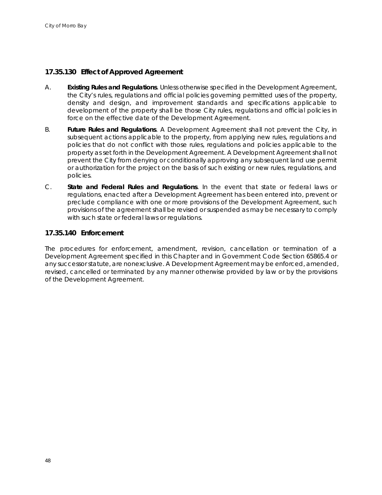### **17.35.130 Effect of Approved Agreement**

- A. **Existing Rules and Regulations**. Unless otherwise specified in the Development Agreement, the City's rules, regulations and official policies governing permitted uses of the property, density and design, and improvement standards and specifications applicable to development of the property shall be those City rules, regulations and official policies in force on the effective date of the Development Agreement.
- B. **Future Rules and Regulations**. A Development Agreement shall not prevent the City, in subsequent actions applicable to the property, from applying new rules, regulations and policies that do not conflict with those rules, regulations and policies applicable to the property as set forth in the Development Agreement. A Development Agreement shall not prevent the City from denying or conditionally approving any subsequent land use permit or authorization for the project on the basis of such existing or new rules, regulations, and policies.
- C. **State and Federal Rules and Regulations**. In the event that state or federal laws or regulations, enacted after a Development Agreement has been entered into, prevent or preclude compliance with one or more provisions of the Development Agreement, such provisions of the agreement shall be revised or suspended as may be necessary to comply with such state or federal laws or regulations.

### **17.35.140 Enforcement**

The procedures for enforcement, amendment, revision, cancellation or termination of a Development Agreement specified in this Chapter and in Government Code Section 65865.4 or any successor statute, are nonexclusive. A Development Agreement may be enforced, amended, revised, cancelled or terminated by any manner otherwise provided by law or by the provisions of the Development Agreement.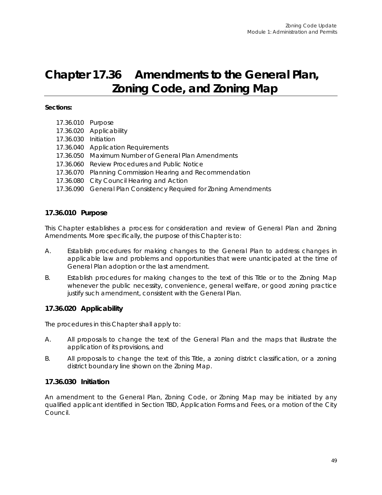# <span id="page-52-0"></span>**Chapter 17.36 Amendments to the General Plan, Zoning Code, and Zoning Map**

#### **Sections:**

| 17.36.010 Purpose    |                                                                   |
|----------------------|-------------------------------------------------------------------|
|                      | 17.36.020 Applicability                                           |
| 17.36.030 Initiation |                                                                   |
|                      | 17.36.040 Application Requirements                                |
|                      | 17.36.050 Maximum Number of General Plan Amendments               |
|                      | 17.36.060 Review Procedures and Public Notice                     |
|                      | 17.36.070 Planning Commission Hearing and Recommendation          |
|                      | 17.36.080 City Council Hearing and Action                         |
|                      | 17.36.090 General Plan Consistency Required for Zoning Amendments |

# **17.36.010 Purpose**

This Chapter establishes a process for consideration and review of General Plan and Zoning Amendments. More specifically, the purpose of this Chapter is to:

- A. Establish procedures for making changes to the General Plan to address changes in applicable law and problems and opportunities that were unanticipated at the time of General Plan adoption or the last amendment.
- B. Establish procedures for making changes to the text of this Title or to the Zoning Map whenever the public necessity, convenience, general welfare, or good zoning practice justify such amendment, consistent with the General Plan.

# **17.36.020 Applicability**

The procedures in this Chapter shall apply to:

- A. All proposals to change the text of the General Plan and the maps that illustrate the application of its provisions, and
- B. All proposals to change the text of this Title, a zoning district classification, or a zoning district boundary line shown on the Zoning Map.

### **17.36.030 Initiation**

An amendment to the General Plan, Zoning Code, or Zoning Map may be initiated by any qualified applicant identified in Section TBD, Application Forms and Fees, or a motion of the City Council.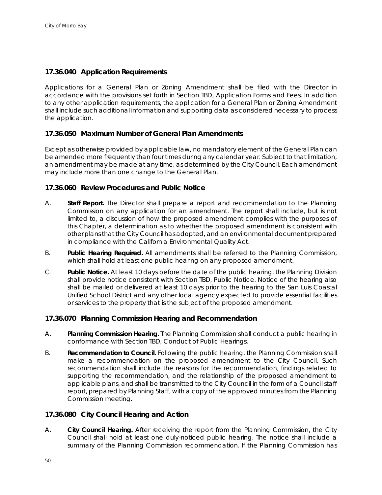### **17.36.040 Application Requirements**

Applications for a General Plan or Zoning Amendment shall be filed with the Director in accordance with the provisions set forth in Section TBD, Application Forms and Fees. In addition to any other application requirements, the application for a General Plan or Zoning Amendment shall include such additional information and supporting data as considered necessary to process the application.

### **17.36.050 Maximum Number of General Plan Amendments**

Except as otherwise provided by applicable law, no mandatory element of the General Plan can be amended more frequently than four times during any calendar year. Subject to that limitation, an amendment may be made at any time, as determined by the City Council. Each amendment may include more than one change to the General Plan.

#### **17.36.060 Review Procedures and Public Notice**

- A. **Staff Report.** The Director shall prepare a report and recommendation to the Planning Commission on any application for an amendment. The report shall include, but is not limited to, a discussion of how the proposed amendment complies with the purposes of this Chapter, a determination as to whether the proposed amendment is consistent with other plans that the City Council has adopted, and an environmental document prepared in compliance with the California Environmental Quality Act.
- B. **Public Hearing Required.** All amendments shall be referred to the Planning Commission, which shall hold at least one public hearing on any proposed amendment.
- C. **Public Notice.** At least 10 days before the date of the public hearing, the Planning Division shall provide notice consistent with Section TBD, Public Notice. Notice of the hearing also shall be mailed or delivered at least 10 days prior to the hearing to the San Luis Coastal Unified School District and any other local agency expected to provide essential facilities or services to the property that is the subject of the proposed amendment.

#### **17.36.070 Planning Commission Hearing and Recommendation**

- A. **Planning Commission Hearing.** The Planning Commission shall conduct a public hearing in conformance with Section TBD, Conduct of Public Hearings.
- B. **Recommendation to Council.** Following the public hearing, the Planning Commission shall make a recommendation on the proposed amendment to the City Council. Such recommendation shall include the reasons for the recommendation, findings related to supporting the recommendation, and the relationship of the proposed amendment to applicable plans, and shall be transmitted to the City Council in the form of a Council staff report, prepared by Planning Staff, with a copy of the approved minutes from the Planning Commission meeting.

#### **17.36.080 City Council Hearing and Action**

A. **City Council Hearing.** After receiving the report from the Planning Commission, the City Council shall hold at least one duly-noticed public hearing. The notice shall include a summary of the Planning Commission recommendation. If the Planning Commission has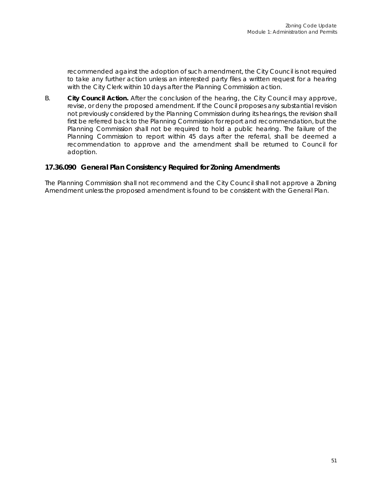recommended against the adoption of such amendment, the City Council is not required to take any further action unless an interested party files a written request for a hearing with the City Clerk within 10 days after the Planning Commission action.

B. **City Council Action.** After the conclusion of the hearing, the City Council may approve, revise, or deny the proposed amendment. If the Council proposes any substantial revision not previously considered by the Planning Commission during its hearings, the revision shall first be referred back to the Planning Commission for report and recommendation, but the Planning Commission shall not be required to hold a public hearing. The failure of the Planning Commission to report within 45 days after the referral, shall be deemed a recommendation to approve and the amendment shall be returned to Council for adoption.

### **17.36.090 General Plan Consistency Required for Zoning Amendments**

The Planning Commission shall not recommend and the City Council shall not approve a Zoning Amendment unless the proposed amendment is found to be consistent with the General Plan.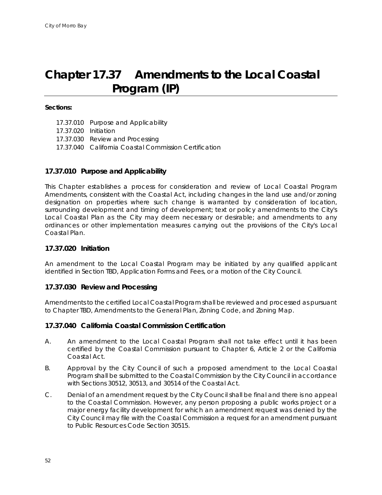# <span id="page-55-0"></span>**Chapter 17.37 Amendments to the Local Coastal Program (IP)**

#### **Sections:**

17.37.010 Purpose and Applicability 17.37.020 Initiation 17.37.030 Review and Processing 17.37.040 California Coastal Commission Certification

### **17.37.010 Purpose and Applicability**

This Chapter establishes a process for consideration and review of Local Coastal Program Amendments, consistent with the Coastal Act, including changes in the land use and/or zoning designation on properties where such change is warranted by consideration of location, surrounding development and timing of development; text or policy amendments to the City's Local Coastal Plan as the City may deem necessary or desirable; and amendments to any ordinances or other implementation measures carrying out the provisions of the City's Local Coastal Plan.

#### **17.37.020 Initiation**

An amendment to the Local Coastal Program may be initiated by any qualified applicant identified in Section TBD, Application Forms and Fees, or a motion of the City Council.

#### **17.37.030 Review and Processing**

Amendments to the certified Local Coastal Program shall be reviewed and processed as pursuant to Chapter TBD, Amendments to the General Plan, Zoning Code, and Zoning Map.

#### **17.37.040 California Coastal Commission Certification**

- A. An amendment to the Local Coastal Program shall not take effect until it has been certified by the Coastal Commission pursuant to Chapter 6, Article 2 or the California Coastal Act.
- B. Approval by the City Council of such a proposed amendment to the Local Coastal Program shall be submitted to the Coastal Commission by the City Council in accordance with Sections 30512, 30513, and 30514 of the Coastal Act.
- C. Denial of an amendment request by the City Council shall be final and there is no appeal to the Coastal Commission. However, any person proposing a public works project or a major energy facility development for which an amendment request was denied by the City Council may file with the Coastal Commission a request for an amendment pursuant to Public Resources Code Section 30515.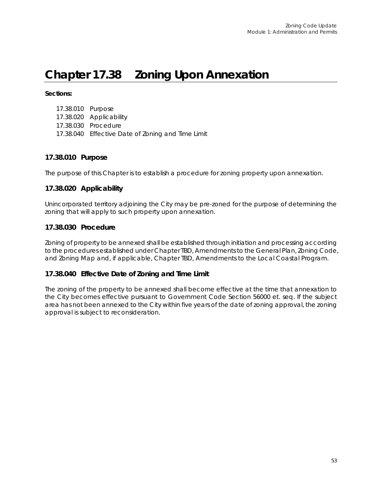# <span id="page-56-0"></span>**Chapter 17.38 Zoning Upon Annexation**

#### **Sections:**

| 17.38.010 Purpose |                                                   |
|-------------------|---------------------------------------------------|
|                   | 17.38.020 Applicability                           |
|                   | 17.38.030 Procedure                               |
|                   | 17.38.040 Effective Date of Zoning and Time Limit |

### **17.38.010 Purpose**

The purpose of this Chapter is to establish a procedure for zoning property upon annexation.

### **17.38.020 Applicability**

Unincorporated territory adjoining the City may be pre-zoned for the purpose of determining the zoning that will apply to such property upon annexation.

# **17.38.030 Procedure**

Zoning of property to be annexed shall be established through initiation and processing according to the procedures established under Chapter TBD, Amendments to the General Plan, Zoning Code, and Zoning Map and, if applicable, Chapter TBD, Amendments to the Local Coastal Program.

### **17.38.040 Effective Date of Zoning and Time Limit**

The zoning of the property to be annexed shall become effective at the time that annexation to the City becomes effective pursuant to Government Code Section 56000 et. seq. If the subject area has not been annexed to the City within five years of the date of zoning approval, the zoning approval is subject to reconsideration.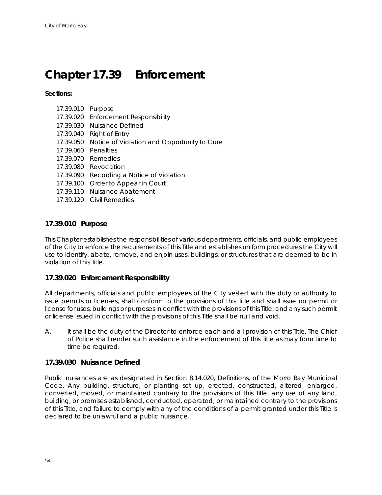# <span id="page-57-0"></span>**Chapter 17.39 Enforcement**

#### **Sections:**

- 17.39.010 Purpose
- 17.39.020 Enforcement Responsibility
- 17.39.030 Nuisance Defined
- 17.39.040 Right of Entry
- 17.39.050 Notice of Violation and Opportunity to Cure
- 17.39.060 Penalties
- 17.39.070 Remedies
- 17.39.080 Revocation
- 17.39.090 Recording a Notice of Violation
- 17.39.100 Order to Appear in Court
- 17.39.110 Nuisance Abatement
- 17.39.120 Civil Remedies

### **17.39.010 Purpose**

This Chapter establishes the responsibilities of various departments, officials, and public employees of the City to enforce the requirements of this Title and establishes uniform procedures the City will use to identify, abate, remove, and enjoin uses, buildings, or structures that are deemed to be in violation of this Title.

### **17.39.020 Enforcement Responsibility**

All departments, officials and public employees of the City vested with the duty or authority to issue permits or licenses, shall conform to the provisions of this Title and shall issue no permit or license for uses, buildings or purposes in conflict with the provisions of this Title; and any such permit or license issued in conflict with the provisions of this Title shall be null and void.

A. It shall be the duty of the Director to enforce each and all provision of this Title. The Chief of Police shall render such assistance in the enforcement of this Title as may from time to time be required.

### **17.39.030 Nuisance Defined**

Public nuisances are as designated in Section 8.14.020, Definitions, of the Morro Bay Municipal Code. Any building, structure, or planting set up, erected, constructed, altered, enlarged, converted, moved, or maintained contrary to the provisions of this Title, any use of any land, building, or premises established, conducted, operated, or maintained contrary to the provisions of this Title, and failure to comply with any of the conditions of a permit granted under this Title is declared to be unlawful and a public nuisance.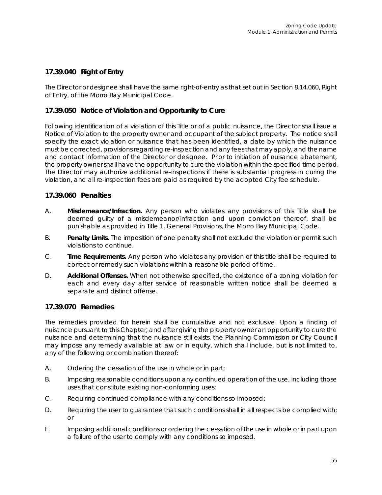# **17.39.040 Right of Entry**

The Director or designee shall have the same right-of-entry as that set out in Section 8.14.060, Right of Entry, of the Morro Bay Municipal Code.

## **17.39.050 Notice of Violation and Opportunity to Cure**

Following identification of a violation of this Title or of a public nuisance, the Director shall issue a Notice of Violation to the property owner and occupant of the subject property. The notice shall specify the exact violation or nuisance that has been identified, a date by which the nuisance must be corrected, provisions regarding re-inspection and any fees that may apply, and the name and contact information of the Director or designee. Prior to initiation of nuisance abatement, the property owner shall have the opportunity to cure the violation within the specified time period. The Director may authorize additional re-inspections if there is substantial progress in curing the violation, and all re-inspection fees are paid as required by the adopted City fee schedule.

### **17.39.060 Penalties**

- A. **Misdemeanor/Infraction.** Any person who violates any provisions of this Title shall be deemed guilty of a misdemeanor/infraction and upon conviction thereof, shall be punishable as provided in Title 1, General Provisions, the Morro Bay Municipal Code.
- B. **Penalty Limits**. The imposition of one penalty shall not exclude the violation or permit such violations to continue.
- C. **Time Requirements.** Any person who violates any provision of this title shall be required to correct or remedy such violations within a reasonable period of time.
- D. **Additional Offenses.** When not otherwise specified, the existence of a zoning violation for each and every day after service of reasonable written notice shall be deemed a separate and distinct offense.

### **17.39.070 Remedies**

The remedies provided for herein shall be cumulative and not exclusive. Upon a finding of nuisance pursuant to this Chapter, and after giving the property owner an opportunity to cure the nuisance and determining that the nuisance still exists, the Planning Commission or City Council may impose any remedy available at law or in equity, which shall include, but is not limited to, any of the following or combination thereof:

- A. Ordering the cessation of the use in whole or in part;
- B. Imposing reasonable conditions upon any continued operation of the use, including those uses that constitute existing non-conforming uses;
- C. Requiring continued compliance with any conditions so imposed;
- D. Requiring the user to guarantee that such conditions shall in all respects be complied with; or
- E. Imposing additional conditions or ordering the cessation of the use in whole or in part upon a failure of the user to comply with any conditions so imposed.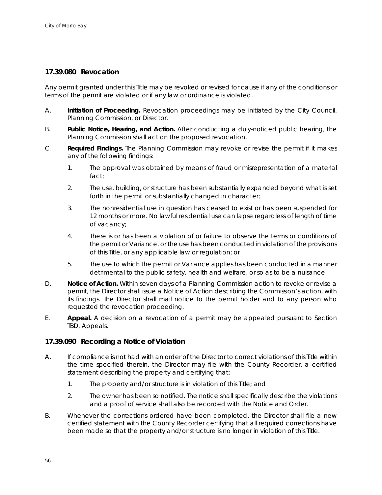#### **17.39.080 Revocation**

Any permit granted under this Title may be revoked or revised for cause if any of the conditions or terms of the permit are violated or if any law or ordinance is violated.

- A. **Initiation of Proceeding.** Revocation proceedings may be initiated by the City Council, Planning Commission, or Director.
- B. **Public Notice, Hearing, and Action.** After conducting a duly-noticed public hearing, the Planning Commission shall act on the proposed revocation.
- C. **Required Findings.** The Planning Commission may revoke or revise the permit if it makes any of the following findings:
	- 1. The approval was obtained by means of fraud or misrepresentation of a material fact;
	- 2. The use, building, or structure has been substantially expanded beyond what is set forth in the permit or substantially changed in character;
	- 3. The nonresidential use in question has ceased to exist or has been suspended for 12 months or more. No lawful residential use can lapse regardless of length of time of vacancy;
	- 4. There is or has been a violation of or failure to observe the terms or conditions of the permit or Variance, or the use has been conducted in violation of the provisions of this Title, or any applicable law or regulation; or
	- 5. The use to which the permit or Variance applies has been conducted in a manner detrimental to the public safety, health and welfare, or so as to be a nuisance.
- D. **Notice of Action.** Within seven days of a Planning Commission action to revoke or revise a permit, the Director shall issue a Notice of Action describing the Commission's action, with its findings. The Director shall mail notice to the permit holder and to any person who requested the revocation proceeding.
- E. **Appeal.** A decision on a revocation of a permit may be appealed pursuant to Section TBD, Appeals.

#### **17.39.090 Recording a Notice of Violation**

- A. If compliance is not had with an order of the Director to correct violations of this Title within the time specified therein, the Director may file with the County Recorder, a certified statement describing the property and certifying that:
	- 1. The property and/or structure is in violation of this Title; and
	- 2. The owner has been so notified. The notice shall specifically describe the violations and a proof of service shall also be recorded with the Notice and Order.
- B. Whenever the corrections ordered have been completed, the Director shall file a new certified statement with the County Recorder certifying that all required corrections have been made so that the property and/or structure is no longer in violation of this Title.